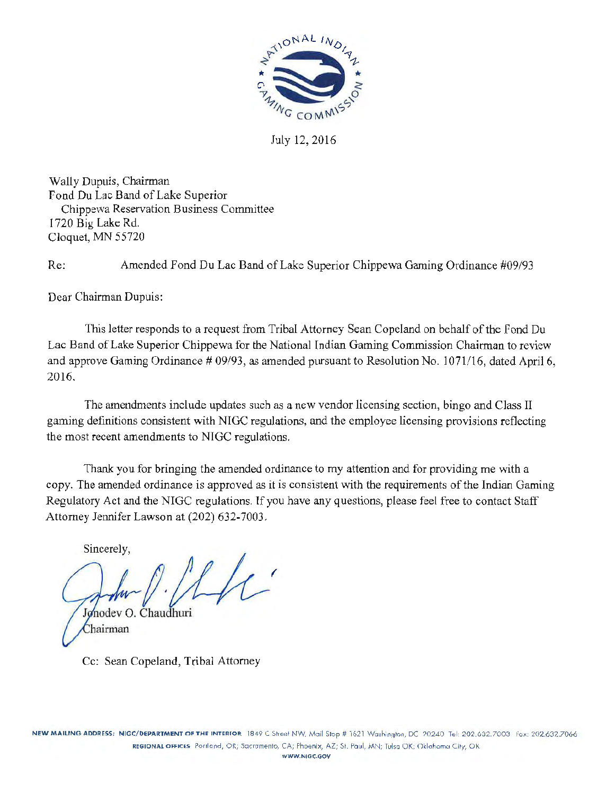

July 12, 2016

Wally Dupuis, Chairman Fond Du Lac Band of Lake Superior Chippewa Reservation Business Committee 1720 Big Lake Rd. Cloquet, MN 55720

Re: Amended Fond Du Lac Band of Lake Superior Chippewa Gaming Ordinance #09/93

Dear Chairman Dupuis:

This letter responds to a request from Tribal Attorney Sean Copeland on behalf of the Fond Du Lac Band of Lake Superior Chippewa for the National Indian Gaming Commission Chairman to review and approve Gaming Ordinance # 09/93, as amended pursuant to Resolution No. 1071/16, dated April 6, 2016.

The amendments include updates such as a new vendor licensing section, bingo and Class II gaming definitions consistent with NIGC regulations, and the employee licensing provisions reflecting the most recent amendments to NIGC regulations.

Thank you for bringing the amended ordinance to my attention and for providing me with a copy. The amended ordinance is approved as it is consistent with the requirements of the Indian Gaming Regulatory Act and the NIGC regulations. If you have any questions, please feel free to contact Staff Attorney Jennifer Lawson at (202) 632-7003.

Sincerely, ( Jonodev O. Chaudhuri Chairman

Cc: Sean Copeland, Tribal Attorney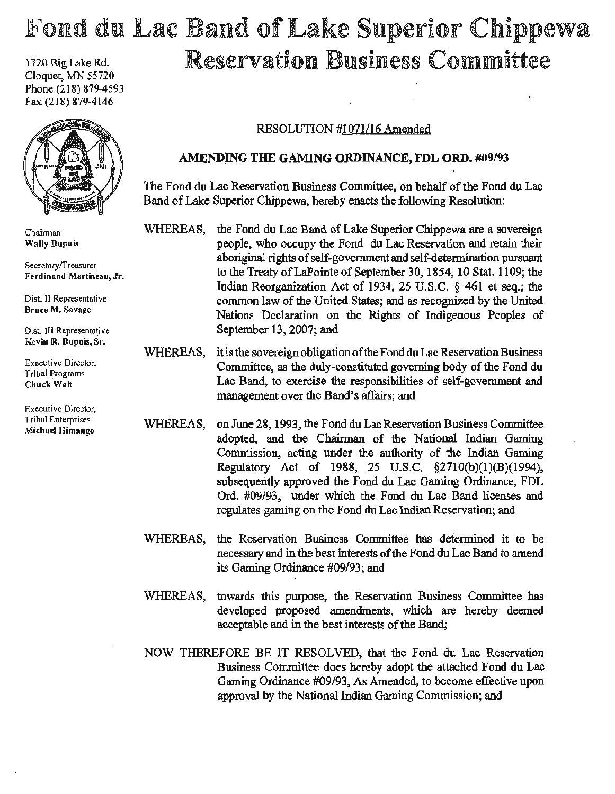# Fond du Lac Band of Lake Superior Chippewa  $1720$  Big Lake Rd.  $\mathbb R$ eservation Business Committee

Cloquet, MN 55720 Phone (218) 879-4593 Fax (218) 879·4146



Chairman Wally Dupuis

Secretary/Treasurer Ferdinand Martineau, Jr.

Dist. II Representative Bruce M, Savage

Dist. III Representative Kevin R. Dupuis, Sr.

Executive Director, Tribal Programs Chuck.Walt

Executive Director, Tribal Enterprises Michael Himango

# RESOLUTION #1071/16 Amended

# AMENDJNG THE GAMING ORDINANCE, FDL ORD. #09/93

The Fond du Lac Reservation Business Committee, on behalf of the Fond du Lac Band of Lake Superior Chippewa, hereby enacts the following Resolution:

WHEREAS, the Fond du Lac Band of Lake Superior Chippewa are a sovereign people, who occupy the Fond du Lac Reservation and retain their aboriginal rights of self-government and self-determination pursuant to the Treaty ofLaPointe of September 30, 1854, 10 Stat. 1109; the Indian Reorganization Act of 1934, 25 U.S.C. § 461 et seq.; the common law of the United States; and as recognized by the United Nations Declaration on the Rights of Indigenous Peoples of September 13, 2007; and

WHEREAS, it is the sovereign obligation of the Fond du Lac Reservation Business Committee, as the duly-constituted governing body of the Fond du Lac Band, to exercise the responsibilities of self-government and management over the Band's affairs; and

WHEREAS, on June 28, 1993, the Fond du Lac Reservation Business Committee adopted, and the Chairman of the National Indian Gaming Commission, acting under the authority of the Indian Gaming Regulatoxy Act of 1988, 25 U.S.C. §2710(b)(l)(B)(1994), subsequently approved the Fond du Lac Gaming Ordinance, FDL Ord. #09/93, under which the Fond du Lac Band licenses and regulates gaming on the Fond du Lac Indian Reservation; and

WHEREAS, the Reservation Business Committee has determined it to be necessary and in the best interests of the Fond du Lac Band to amend its Gaming Ordinance #09/93; and

WHEREAS, towards this purpose, the Reservation Business Committee has developed proposed amendments, which are hereby deemed acceptable and in the best interests of the Band;

NOW THEREFORE BE IT RESOLVED, that the Fond du Lac Reservation Business Committee does hereby adopt the attached Fond du Lac Gaming Ordinance #09/93, As Amended, to become effective upon approval by the National Indian Gaming Commission; and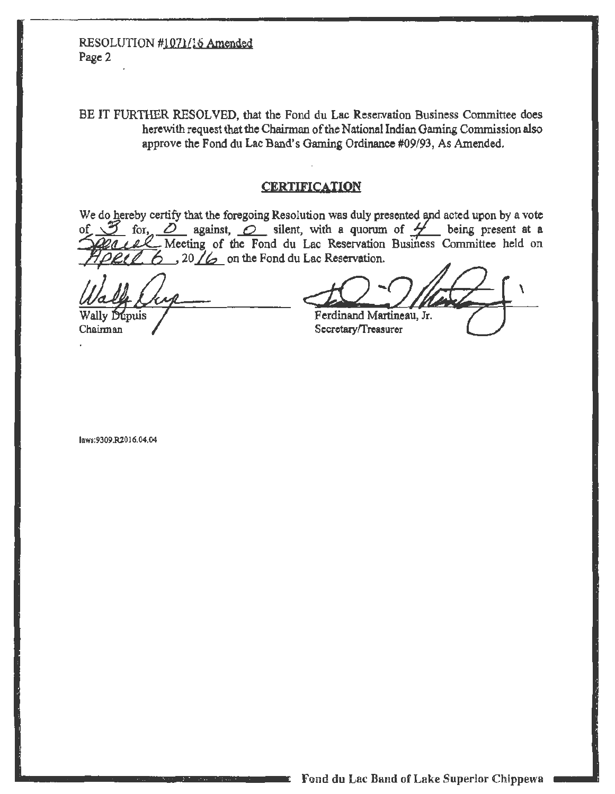# RESOLUTION #1071/16 Amended Page 2

BE IT FURTHER RESOLVED, that the Fond du Lac Reservation Business Committee does herewith request that the Chairman of the National Indian Gaming Commission also approve the Fond du Lac Band's Gaming Ordinance #09/93, As Amended.

#### **CERTIFICATION**

We do hereby certify that the foregoing Resolution was duly presented and acted upon by a vote 3 for, 0 against, 0 silent, with a quorum of 4 being present at a 20 LAC Meeting of the Fond du Lac Reservation Business Committee held on of  $\sqrt{ }$  $6$ , 20  $/6$  on the Fond du Lac Reservation.

and the

Wally Dupuis

Chairman

Ferdinand Martineau, Jr. Secretary/Treasurer

laws:9309.R2016.04.04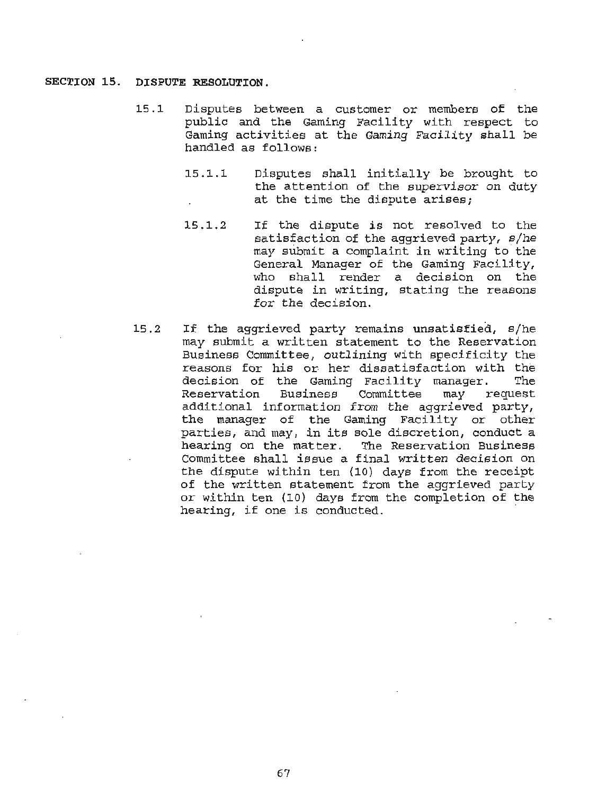#### **SECTION 15. DISPUTE RESOLUTION.**

- 15 .1 Disputes between a customer or members of the public and the Gaming Facility with respect to Gaming activities at the Gaming Facility shall be handled as follows:
	- 15 .1.1 Disputes shall initially be brought to the attention of the supervisor on duty at the time the dispute arises;
	- 15 .1. 2 If the dispute is not resolved to the satisfaction of the aggrieved party, s/he may submit a complaint in writing to the General Manager of the Gaming Facility, who shall render a decision on the dispute in writing, stating the reasons for the decision.
- 15. *2* If the aggrieved party remains unsatisfied, s/he may submit a written statement to the Reservation Business Committee, outlining with specificity the reasons for his or her dissatisfaction with the decision of the Gaming Facility manager. The<br>Reservation Business Committee may request Business Committee additional information from the aggrieved party, the manager of the Gaming Facility or other parties, and may, in its sole discretion, conduct a The Reservation Business Committee shall issue a final written decision on the dispute within ten {10) days from the receipt of the written statement from the aggrieved party or within ten (10) days from the completion of the hearing, if one is conducted.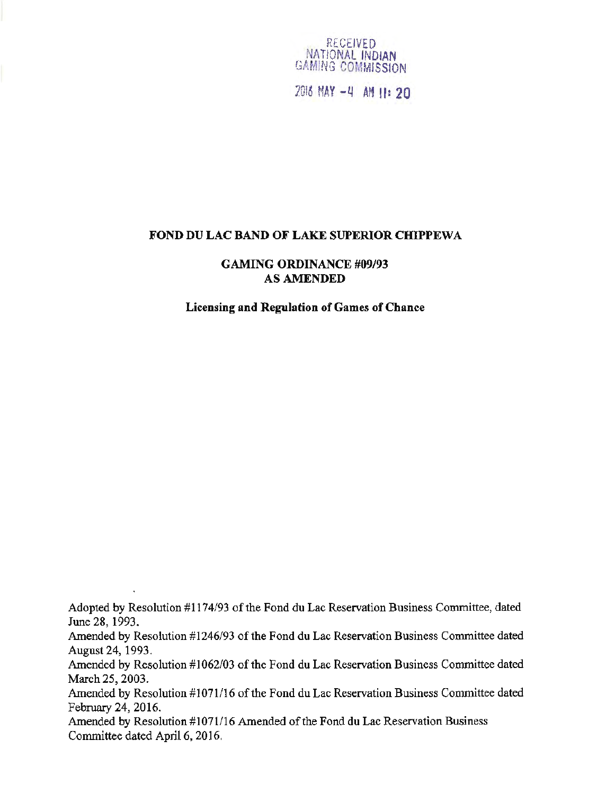

7Ul6 MAY -Q AH II= 20

#### FOND DU LAC BAND OF LAKE SUPERIOR CHIPPEWA

GAMING ORDINANCE #09/93 AS AMENDED

Licensing and Regulation of Games of Chance

Adopted by Resolution #1174/93 of the Fond du Lac Reservation Business Committee, dated June 28, 1993.

Amended by Resolution #1246/93 of the Fond du Lac Reservation Business Committee dated August 24, 1993.

Amended by Resolution #1062/03 of the Fond du Lac Reservation Business Committee dated March 25, 2003.

Amended by Resolution #1071/16 of the Fond du Lac Reservation Business Committee dated February 24, 2016.

Amended by Resolution #1071/16 Amended of the Fond du Lac Reservation Business Committee dated April 6, 2016.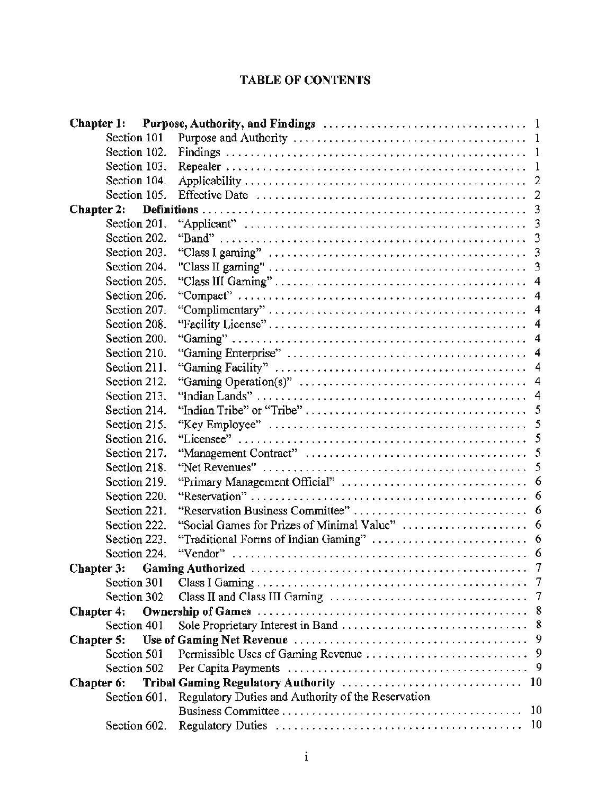# TABLE OF CONTENTS

| Section 101       |                                                                                                    |  |
|-------------------|----------------------------------------------------------------------------------------------------|--|
| Section 102.      |                                                                                                    |  |
| Section 103.      | $\overline{1}$                                                                                     |  |
| Section 104.      |                                                                                                    |  |
| Section 105.      |                                                                                                    |  |
| <b>Chapter 2:</b> |                                                                                                    |  |
| Section 201.      |                                                                                                    |  |
| Section 202.      |                                                                                                    |  |
| Section 203.      |                                                                                                    |  |
| Section 204.      |                                                                                                    |  |
| Section 205.      |                                                                                                    |  |
| Section 206.      |                                                                                                    |  |
| Section 207.      |                                                                                                    |  |
| Section 208.      |                                                                                                    |  |
| Section 200.      |                                                                                                    |  |
| Section 210.      |                                                                                                    |  |
| Section 211.      |                                                                                                    |  |
| Section 212.      |                                                                                                    |  |
| Section 213.      |                                                                                                    |  |
| Section 214.      |                                                                                                    |  |
| Section 215.      |                                                                                                    |  |
| Section 216.      |                                                                                                    |  |
| Section 217.      |                                                                                                    |  |
| Section 218.      | "Net Revenues" $\ldots, \ldots, \ldots, \ldots, \ldots, \ldots, \ldots, \ldots, \ldots, \ldots, 5$ |  |
| Section 219.      |                                                                                                    |  |
| Section 220.      |                                                                                                    |  |
| Section 221.      |                                                                                                    |  |
| Section 222.      |                                                                                                    |  |
| Section 223.      |                                                                                                    |  |
| Section 224.      |                                                                                                    |  |
|                   |                                                                                                    |  |
| Section 301       |                                                                                                    |  |
| Section 302       |                                                                                                    |  |
| Chapter 4:        |                                                                                                    |  |
| Section 401       |                                                                                                    |  |
| Chapter 5:        |                                                                                                    |  |
| Section 501       |                                                                                                    |  |
| Section 502       |                                                                                                    |  |
| Chapter 6:        |                                                                                                    |  |
| Section 601.      | Regulatory Duties and Authority of the Reservation                                                 |  |
|                   | 10                                                                                                 |  |
| Section 602.      | -10                                                                                                |  |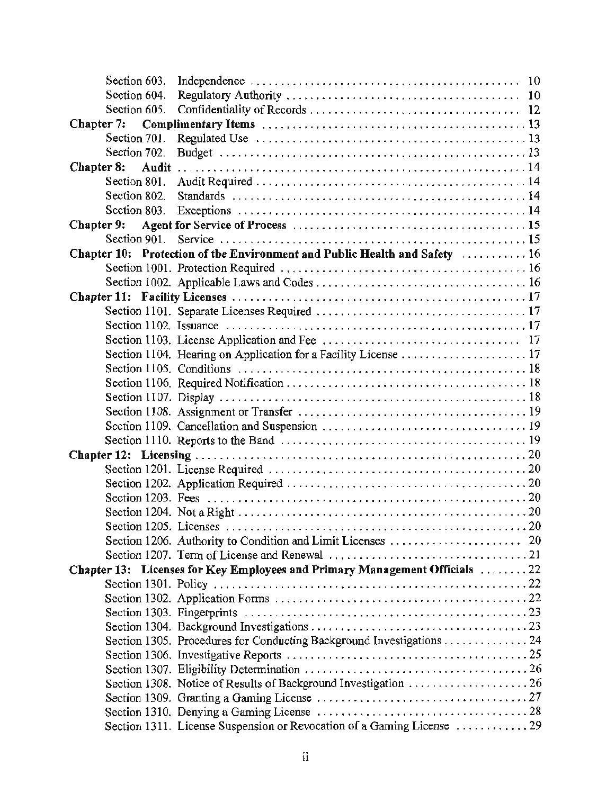| Section 604. |                                                                            |  |
|--------------|----------------------------------------------------------------------------|--|
| Section 605. |                                                                            |  |
| Chapter 7:   |                                                                            |  |
| Section 701. |                                                                            |  |
| Section 702. |                                                                            |  |
| Chapter 8:   |                                                                            |  |
| Section 801. |                                                                            |  |
| Section 802. |                                                                            |  |
| Section 803. |                                                                            |  |
| Chapter 9:   |                                                                            |  |
| Section 901. |                                                                            |  |
|              | Chapter 10: Protection of the Environment and Public Health and Safety  16 |  |
|              |                                                                            |  |
|              |                                                                            |  |
|              |                                                                            |  |
|              |                                                                            |  |
|              |                                                                            |  |
|              |                                                                            |  |
|              |                                                                            |  |
|              |                                                                            |  |
|              |                                                                            |  |
|              |                                                                            |  |
|              |                                                                            |  |
|              |                                                                            |  |
|              |                                                                            |  |
|              |                                                                            |  |
|              |                                                                            |  |
|              |                                                                            |  |
|              |                                                                            |  |
|              |                                                                            |  |
|              |                                                                            |  |
|              |                                                                            |  |
|              |                                                                            |  |
|              | Chapter 13: Licenses for Key Employees and Primary Management Officials 22 |  |
|              |                                                                            |  |
|              |                                                                            |  |
|              |                                                                            |  |
|              |                                                                            |  |
|              | Section 1305. Procedures for Conducting Background Investigations 24       |  |
|              |                                                                            |  |
|              |                                                                            |  |
|              | Section 1308. Notice of Results of Background Investigation  26            |  |
|              |                                                                            |  |
|              |                                                                            |  |
|              | Section 1311. License Suspension or Revocation of a Gaming License  29     |  |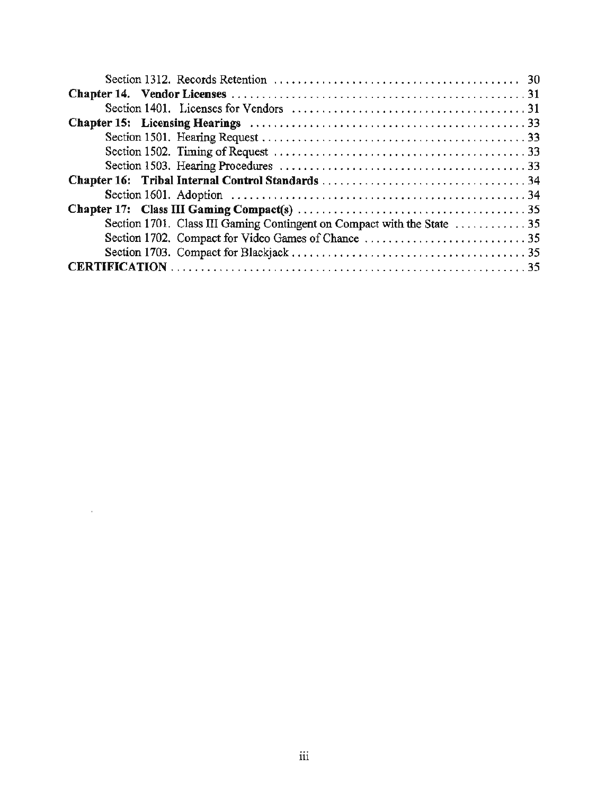| Section 1701. Class III Gaming Contingent on Compact with the State $\dots \dots \dots \dots 35$ |
|--------------------------------------------------------------------------------------------------|
|                                                                                                  |
|                                                                                                  |
|                                                                                                  |

 $\sim 10^{-10}$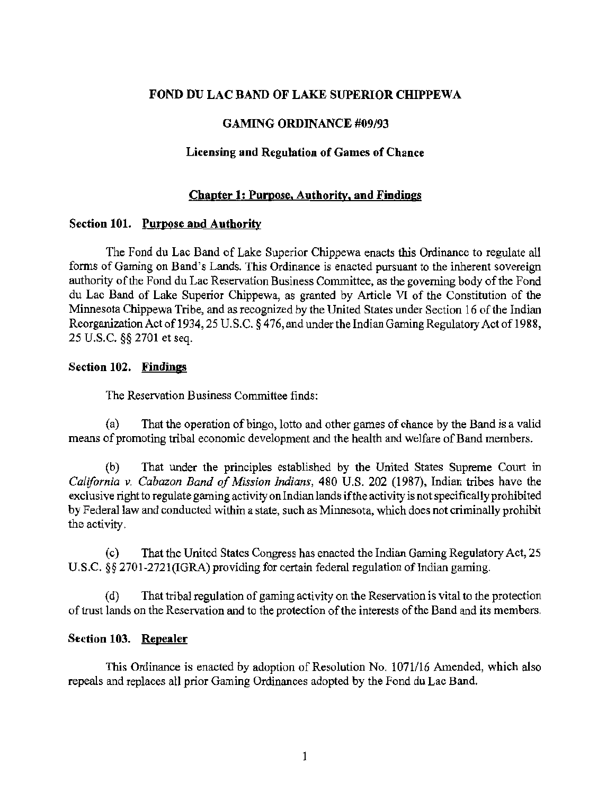# FOND DU LAC BAND OF LAKE SUPERIOR CHIPPEWA

## GAMING ORDINANCE #09/93

#### Licensing and Regulation of Games of Chance

#### Chapter 1: Purpose. Authority, and Findings

#### Section 101. Purpose and Authority

The Fond du Lac Band of Lake Superior Chippewa enacts this Ordinance to regulate all forms of Gaming on Band's Lands. This Ordinance is enacted pursuant to the inherent sovereign authority of the Fond du Lac Reservation Business Committee, as the governing body of the Fond du Lac Band of Lake Superior Chippewa, as granted by Article VI of the Constitution of the Minnesota Chippewa Tribe, and as recognized by the United States under Section 16 of the Indian Reorganization Act of 1934, 25 U.S.C. § 476, and under the Indian Gaming Regulatory Act of 1988, 25 U.S.C. §§ 2701 et seq.

#### Section 102. Findings

The Reservation Business Committee finds:

(a) That the operation of bingo, lotto and other games of chance by the Band is a valid means of promoting tribal economic development and the health and welfare of Band members.

(b) That under the principles established by the United States Supreme Court in *California v. Cabazon Band of Mission Indians,* 480 U.S. 202 (1987), Indian tribes have the exclusive right to regulate gaming activity on Indian lands if the activity is not specifically prohibited by Federal law and conducted within a state, such as Minnesota, which does not criminally prohibit the activity.

( c) That the United States Congress has enacted the Indian Gaming Regulatory Act, 25 U.S.C. §§ 2701-2721(IGRA) providing for certain federal regulation of Indian gaming.

( d) That tribal regulation of gaming activity on the Reservation is vital to the protection of trust lands on the Reservation and to the protection of the interests of the Band and its members.

#### Section 103. Repealer

This Ordinance is enacted by adoption of Resolution No. 1071/16 Amended, which also repeals and replaces all prior Gaming Ordinances adopted by the Fond du Lac Band.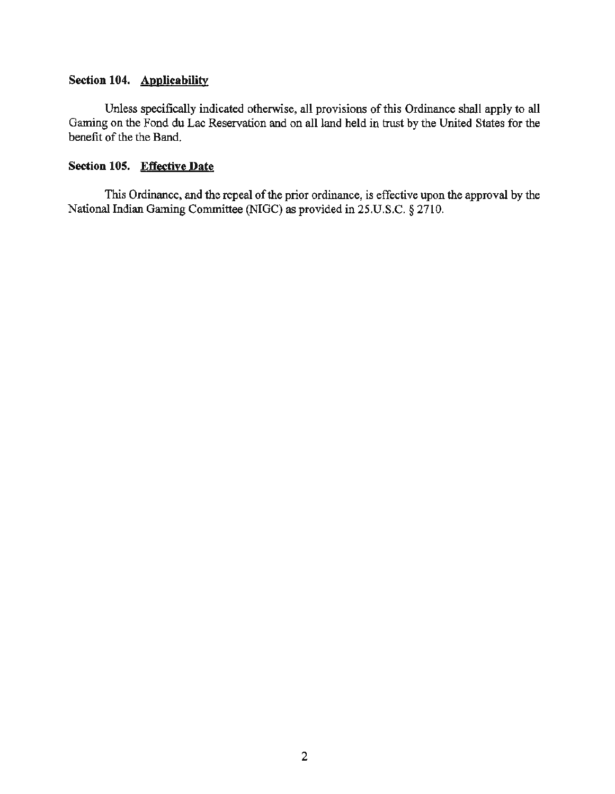# **Section 104. Applicability**

Unless specifically indicated otherwise, all provisions of this Ordinance shall apply to all Gaming on the Fond du Lac Reservation and on all land held in trust by the United States for the benefit of the the Band.

#### **Section 105. Effective Date**

This Ordinance, and the repeal of the prior ordinance, is effective upon the approval by the National Indian Gaming Committee (NIGC) as provided in 25.U.S.C. *§* 2710.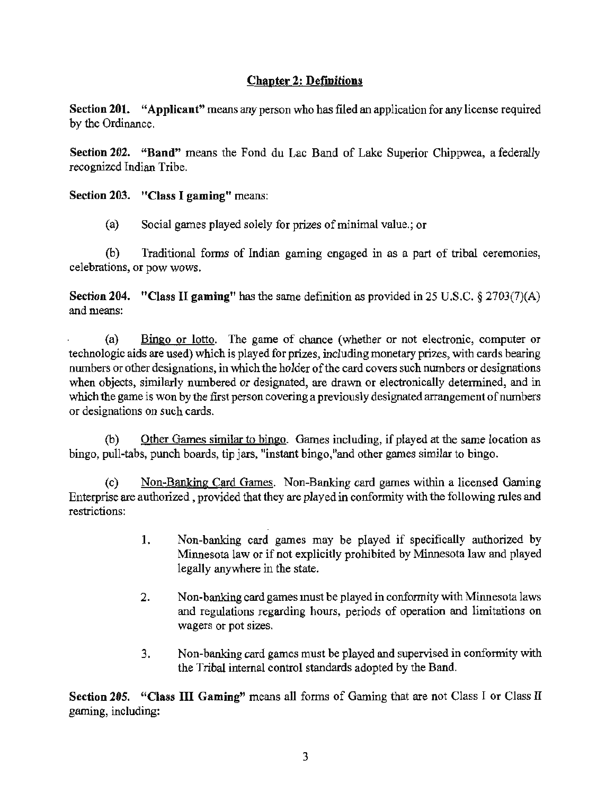# Chapter 2: Definitions

Section 201. "Applicant" means any person who has filed an application for any license required by the Ordinance.

Section 202. "Band" means the Fond du Lac Band of Lake Superior Chippwea, a federally recognized Indian Tribe.

# Section 203. "Class I gaming" means:

(a) Social games played solely for prizes of minimal value.; or

(b) Traditional forms of Indian gaming engaged in as a part of tribal ceremonies, celebrations, or pow wows.

Section 204. "Class II gaming" has the same definition as provided in 25 U.S.C. § 2703(7)(A) and means:

(a) Bingo or lotto. The game of chance (whether or not electronic, computer or technologic aids are used) which is played for prizes, including monetary prizes, with cards bearing numbers or other designations, in which the holder of the card covers such numbers or designations when objects, similarly numbered or designated, are drawn or electronically determined, and in which the game is won by the first person covering a previously designated arrangement of numbers or designations on such cards.

(b) Other Games similar to bingo. Games including, if played at the same location as bingo, pull-tabs, punch boards, tip jars, "instant bingo, "and other games similar to bingo.

(c) Non-Banking Card Games. Non-Banking card games within a licensed Gaming Enterprise are authorized, provided that they are played in conformity with the following rules and restrictions:

- I. Non-banking card games may be played if specifically authorized by Minnesota law or if not explicitly prohibited by Minnesota law and played legally anywhere in the state.
- 2. Non-banking card games must be played in conformity with Minnesota laws and regulations regarding hours, periods of operation and limitations on wagers or pot sizes.
- 3. Non-banking card games must be played and supervised in conformity with the Tribal internal control standards adopted by the Band.

Section 205. "Class III Gaming" means all forms of Gaming that are not Class I or Class II gaming, including: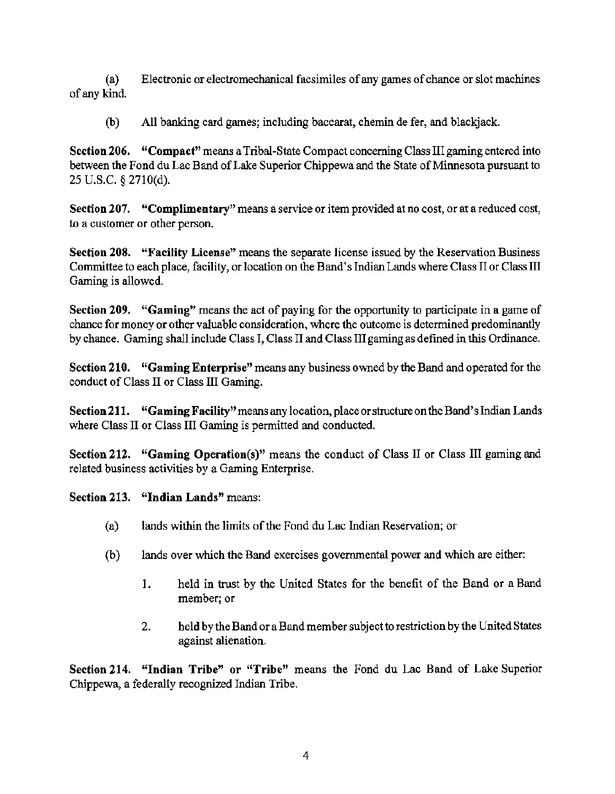(a) Electronic or electromechanical facsimiles of any games of chance or slot machines of any kind.

(b) All banking card games; including baccarat, chemin de fer, and blackjack.

Section 206. "Compact" means a Tribal-State Compact concerning Class III gaming entered into between the Fond du Lac Band of Lake Superior Chippewa and the State of Minnesota pursuant to 25 u.s.c. § 2710(d).

Section 207. "Complimentary" means a service or item provided at no cost, or at a reduced cost, to a customer or other person.

Section 208. "Facility License" means the separate license issued by the Reservation Business Committee to each place, facility, or location on the Band's Indian Lands where Class II or Class III Gaming is allowed.

Section 209. "Gaming" means the act of paying for the opportunity to participate in a game of chance for money or other valuable consideration, where the outcome is determined predominantly by chance. Gaming shall include Class I, Class II and Class III gaming as defined in this Ordinance.

Section 210. "Gaming Enterprise" means any business owned by the Band and operated for the conduct of Class II or Class III Gaming.

Section 211. "Gaming Facility" means any location, place or structure on the Band's Indian Lands where Class II or Class III Gaming is permitted and conducted.

Section 212. "Gaming Operation(s)" means the conduct of Class II or Class III gaming and related business activities by a Gaming Enterprise.

Section 213. "Indian Lands" means:

- (a) lands within the limits of the Fond du Lac Indian Reservation; or
- (b) lands over which the Band exercises govemmental power and which are either:
	- 1. held in trust by the United States for the benefit of the Band or a Band member; or
	- 2. held by the Band or a Band member subject to restriction by the United States against alienation.

Section 214. "Indian Tribe" or "Tribe" means the Fond du Lac Band of Lake Superior Chippewa, a federally recognized Indian Tribe.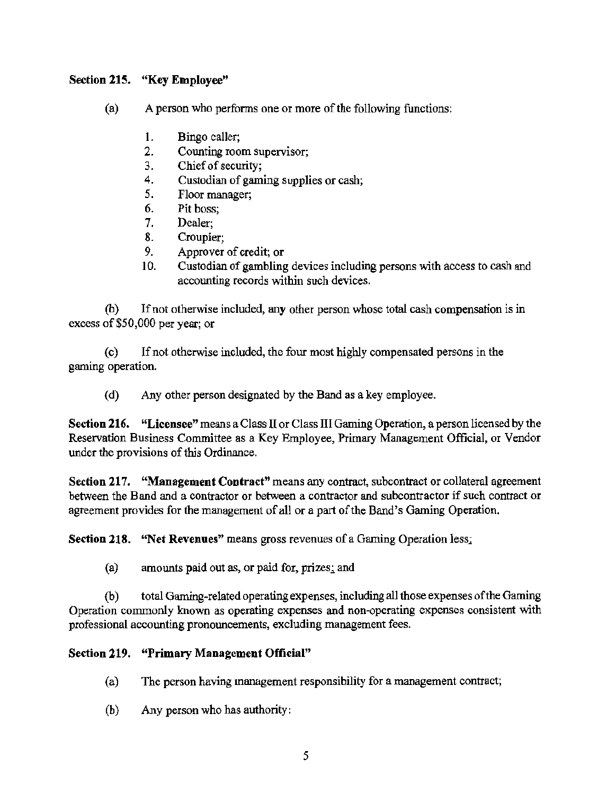# Section 215. "Key Employee"

- (a) A person who performs one or more of the following functions:
	- 1. Bingo caller;<br>2. Counting roo
	- 2. Counting room supervisor;<br>3. Chief of security:
	- Chief of security:
	- 4. Custodian of gaming supplies or cash;
	- 5. Floor manager;
	- 6. Pit boss;<br>7. Dealer:
	- Dealer:
	- 8. Croupier;
	- 9. Approver of credit; or
	- 10. Custodian of gambling devices including persons with access to cash and accounting records within such devices.

(b) If not otherwise included, any other person whose total cash compensation is in excess of \$50,000 per year; or

( c) If not otherwise included, the four most highly compensated persons in the gaming operation.

(d) Any other person designated by the Band as a key employee.

Section 216. "Licensee" means a Class II or Class III Gaming Operation, a person licensed by the Reservation Business Committee as a Key Employee, Primary Management Official, or Vendor under the provisions of this Ordinance.

Section 217. "Management Contract" means any contract, subcontract or collateral agreement between the Band and a contractor or between a contractor and subcontractor if such contract or agreement provides for the management of all or a part of the Band's Gaming Operation.

Section 218. "Net Revenues" means gross revenues of a Gaming Operation less;

(a) amounts paid out as, or paid for, prizes; and

(b) total Gaming-related operating expenses, including all those expenses of the Gaming Operation commonly known as operating expenses and non-operating expenses consistent with professional accounting pronouncements, excluding management fees.

# Section 219. "Primary Management Official"

- (a) The person having management responsibility for a management contract;
- (b) Any person who has authority: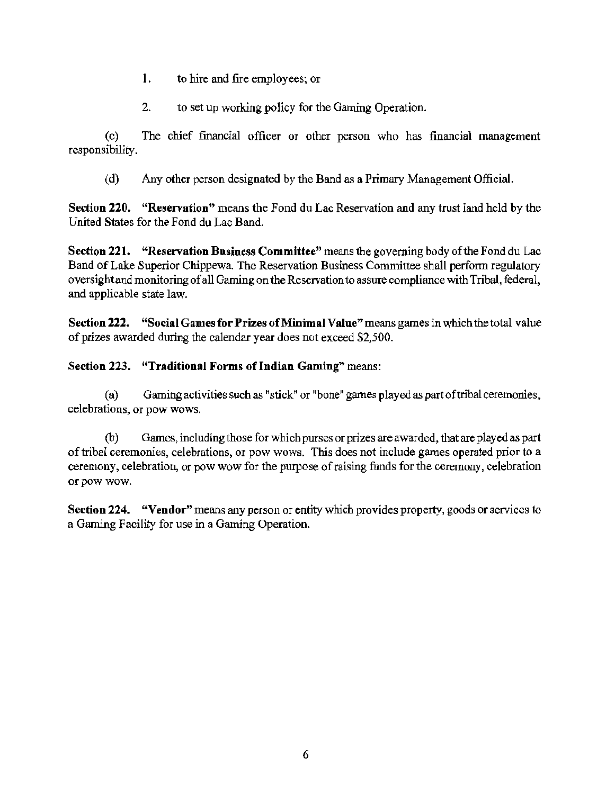- I. to hire and fire employees; or
- 2. to set up working policy for the Gaming Operation.

( c) The chief financial officer or other person who has financial management responsibility.

(d) Any other person designated by the Band as a Primary Management Official.

Section 220. "Reservation" means the Fond du Lac Reservation and any trust land held by the United States for the Fond du Lac Band.

Section 221. "Reservation Business Committee" means the governing body of the Fond du Lac Band of Lake Superior Chippewa. The Reservation Business Committee shall perform regulatory oversight and monitoring of all Gaming on the Reservation to assure compliance with Tribal, federal, and applicable state law.

Section 222. "Social Games for Prizes of Minimal Value" means games in which the total value of prizes awarded during the calendar year does not exceed \$2,500.

# Section 223. "Traditional Forms of Indian Gaming" means:

(a) Gaming activities such as "stick" or "bone" games played as part of tribal ceremonies, celebrations, or pow wows.

(b) Games, including those for which purses or prizes are awarded, that are played as part of tribal ceremonies, celebrations, or pow wows. This does not include games operated prior to a ceremony, celebration, or pow wow for the purpose of raising funds for the ceremony, celebration or pow wow.

Section 224. "Vendor" means any person or entity which provides property, goods or services to a Gaming Facility for use in a Gaming Operation.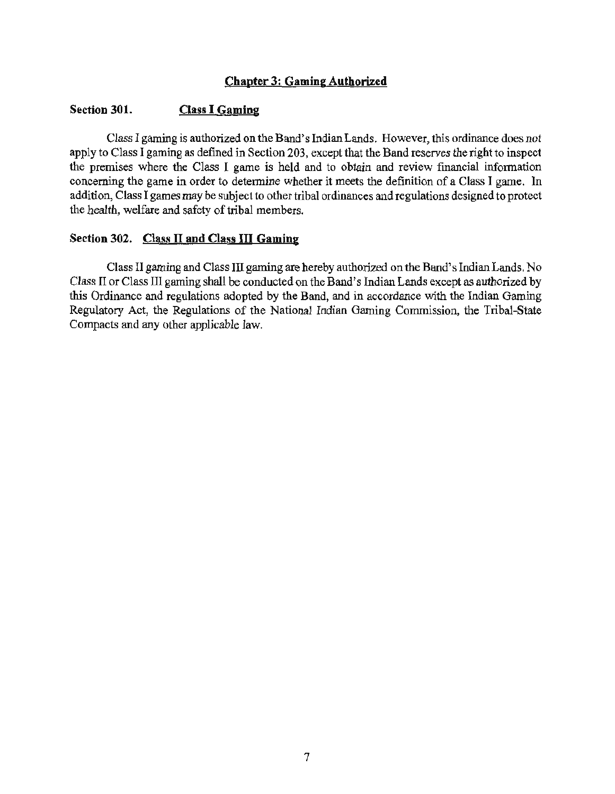# Chapter 3: Gaming Authorized

#### Section 301. Class I Gaming

Class I gaming is authorized on the Band's Indian Lands. However, this ordinance does not apply to Class I gaming as defined in Section 203, except that the Band reserves the right to inspect the premises where the Class I game is held and to obtain and review financial information concerning the game in order to determine whether it meets the definition of a Class I game. In addition, Class I games may be subject to other tribal ordinances and regulations designed to protect the health, welfare and safety of tribal members.

#### Section 302. Class II and Class III Gaming

Class 11 gaming and Class III gaming are hereby authorized on the Band's Indian Lands. No Class II or Class III gaming shall be conducted on the Band's Indian Lands except as authorized by this Ordinance and regulations adopted by the Band, and in accordance with the Indian Gaming Regulatory Act, the Regulations of the National Indian Gaming Commission, the Tribal-State Compacts and any other applicable law.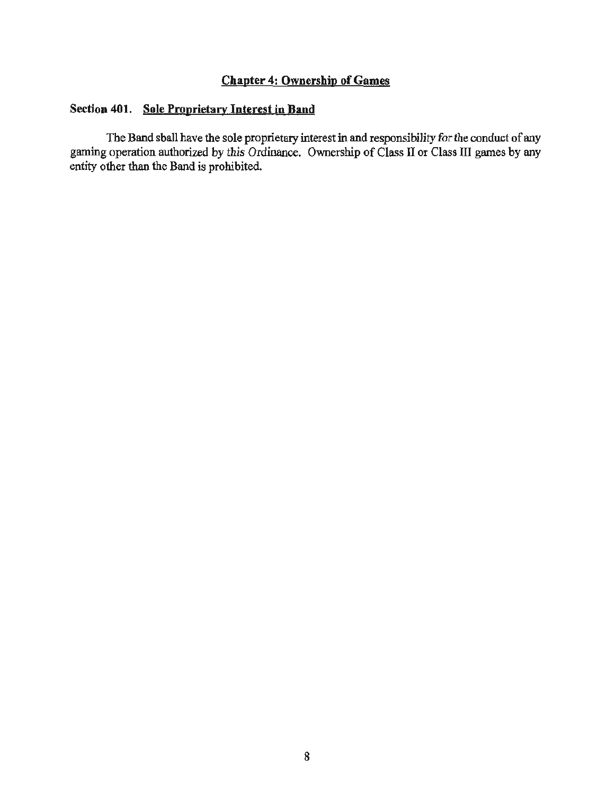# Chapter 4: Ownership of Games

# Section **401.** Sole Proprietary Interest in Band

The Band shall have the sole proprietary interest in and responsibility for the conduct of any gaming operation authorized by this Ordinance. Ownership of Class II or Class III games by any entity other than the Band is prohibited.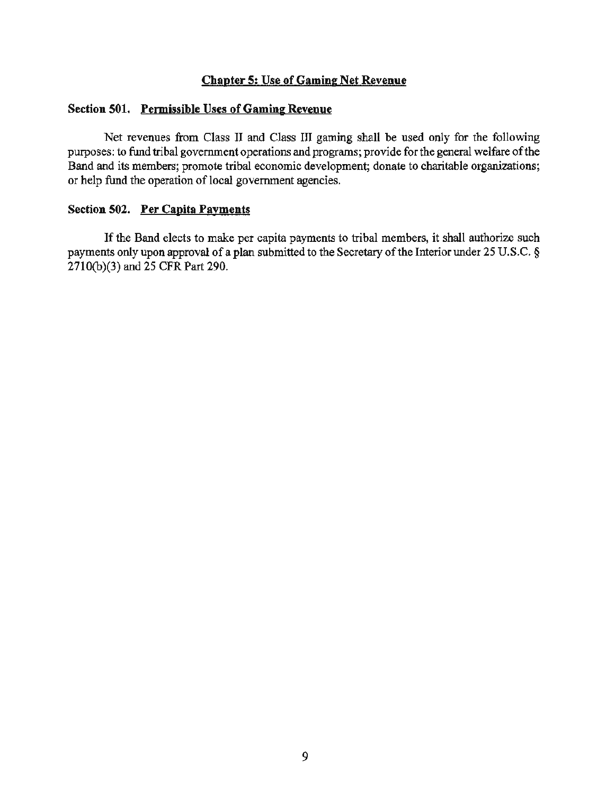#### Chapter 5: Use of Gaming Net Revenue

#### Section 501. Permissible Uses of Gaming Revenue

Net revenues from Class II and Class III gaming shall be used only for the following purposes: to fund tribal government operations and programs; provide for the general welfare of the Band and its members; promote tribal economic development; donate to charitable organizations; or help fund the operation of local government agencies.

# Section 502. Per Capita Payments

If the Band elects to make per capita payments to tribal members, it shall authorize such payments only upon approval of a plan submitted to the Secretary of the Interior under 25 U.S.C. § 2710(b)(3) and 25 CFR Part 290.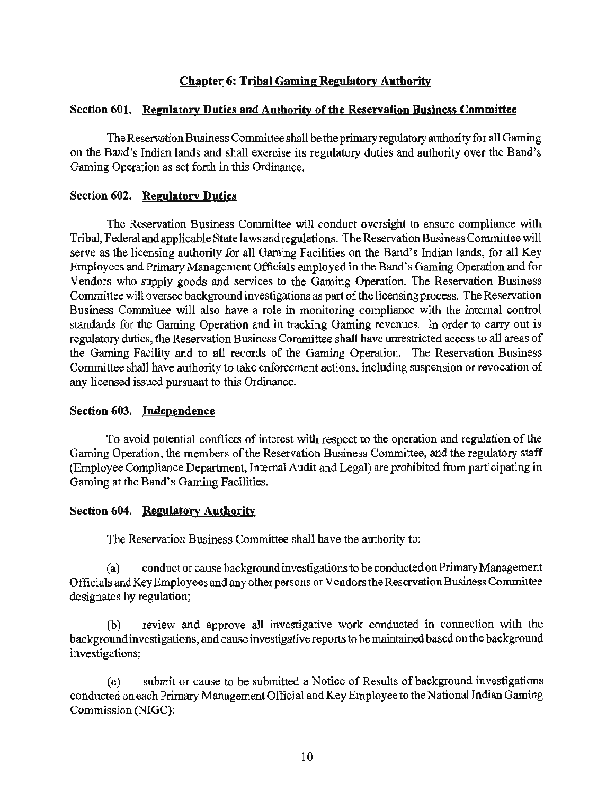# Chapter 6: Tribal Gaming Regulatory Authority

#### Section 601. Regulatory Duties and Authority of the Reservation Business Committee

The Reservation Business Committee shall be the primary regulatory authority for all Gaming on the Band's Indian lands and shall exercise its regulatory duties and authority over the Band's Gaming Operation as set forth in this Ordinance.

#### Section 602. Regulatory Duties

The Reservation Business Committee will conduct oversight to ensure compliance with Tribal, Federal and applicable State laws and regulations. The Reservation Business Committee will serve as the licensing authority for all Gaming Facilities on the Band's Indian lands, for all Key Employees and Primary Management Officials employed in the Band's Gaming Operation and for Vendors who supply goods and services to the Gaming Operation. The Reservation Business Committee will oversee background investigations as part of the licensing process. The Reservation Business Committee will also have a role in monitoring compliance with the internal control standards for the Gaming Operation and in tracking Gaming revenues. In order to carry out is regulatory duties, the Reservation Business Committee shall have unrestricted access to all areas of the Gaming Facility and to all records of the Gaming Operation. The Reservation Business Committee shall have authority to take enforcement actions, including suspension or revocation of any licensed issued pursuant to this Ordinance.

#### Section 603. Independence

To avoid potential conflicts of interest with respect to the operation and regulation of the Gaming Operation, the members of the Reservation Business Committee, and the regulatory staff (Employee Compliance Department, Internal Audit and Legal) are prohibited from participating in Gaming at the Band's Gaming Facilities.

# Section 604. Reeulatory Authority

The Reservation Business Committee shall have the authority to:

(a) conduct or cause background investigations to be conducted on Primary Management Officials and Key Employees and any other persons or Vendors the Reservation Business Committee designates by regulation;

(b) review and approve all investigative work conducted in connection with the background investigations, and cause investigative reports to be maintained based on the background investigations;

(c) submit or cause to be submitted a Notice of Results of background investigations conducted on each Primary Management Official and Key Employee to the National Indian Gaming Commission (NIGC);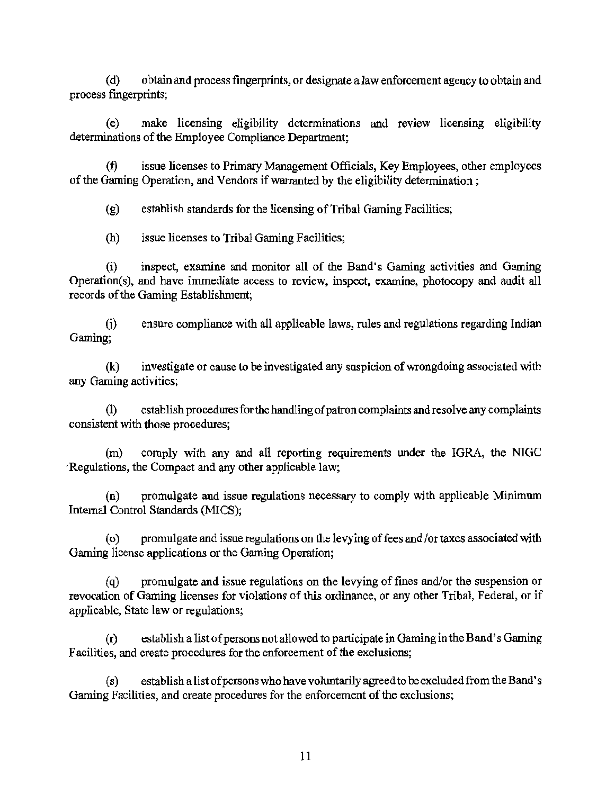( d) obtain and process fingerprints, or designate a law enforcement agency to obtain and process fingerprints;

(e) make licensing eligibility determinations and review licensing eligibility determinations of the Employee Compliance Department;

(f) issue licenses to Primary Management Officials, Key Employees, other employees of the Gaming Operation, and Vendors if warranted by the eligibility determination;

(g) establish standards for the licensing of Tribal Gaming Facilities;

(h) issue licenses to Tribal Gaming Facilities;

(i) inspect, examine and monitor all of the Band's Gaming activities and Gaming Operation(s), and have immediate access to review, inspect, examine, photocopy and audit all records of the Gaming Establishment;

G) ensure compliance with all applicable laws, rules and regulations regarding Indian Gaming;

(k) investigate or cause to be investigated any suspicion of wrongdoing associated with any Gaming activities;

(1) establish procedures for the handling of patron complaints and resolve any complaints consistent with those procedures;

(m) comply with any and all reporting requirements under the IGRA, the NIGC ·Regulations, the Compact and any other applicable law;

(n) promulgate and issue regulations necessary to comply vvith applicable Minimum Internal Control Standards (MICS);

( o) promulgate and issue regulations on the levying of fees and /or taxes associated with Gaming license applications or the Gaming Operation;

(q) promulgate and issue regulations on the levying of fines and/or the suspension or revocation of Gaming licenses for violations of this ordinance, or any other Tribal, Federal, or if applicable, State law or regulations;

(r) establish a list of persons not allowed to participate in Gaming in the Band's Gaming Facilities, and create procedures for the enforcement of the exclusions;

(s) establish a list of persons who have voluntarily agreed to be excluded from the Band's Gaming Facilities, and create procedures for the enforcement of the exclusions;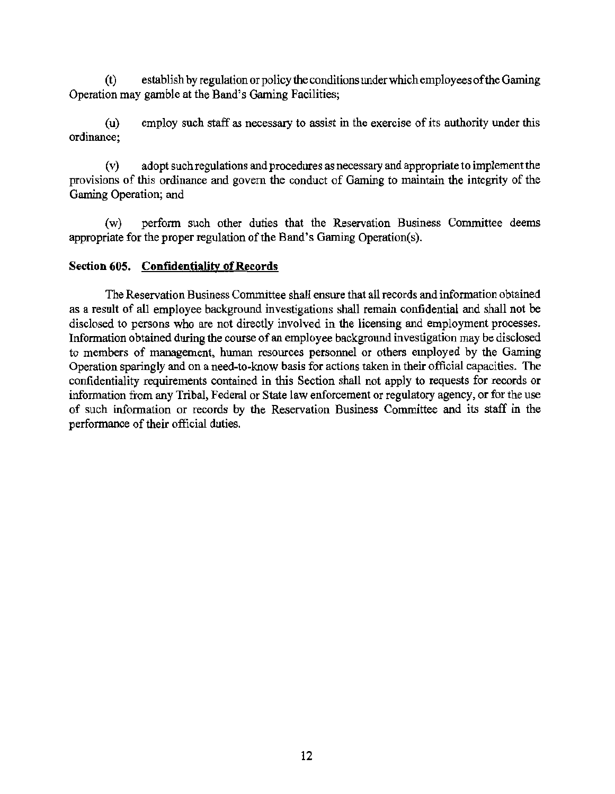$(t)$  establish by regulation or policy the conditions under which employees of the Gaming Operation may gamble at the Band's Gaming Facilities;

(u) ordinance; employ such staff as necessary to assist in the exercise of its authority under this

(v) adopt such regulations and procedures as necessary and appropriate to implement the provisions of this ordinance and govern the conduct of Gaming to maintain the integrity of the Gaming Operation; and

(w) perform such other duties that the Reservation Business Committee deems appropriate for the proper regulation of the Band's Gaming Operation(s).

#### Section 605. Confidentiality of Records

The Reservation Business Committee shall ensure that all records and information obtained as a result of all employee background investigations shall remain confidential and shall not be disclosed to persons who are not directly involved in the licensing and employment processes. Information obtained during the course of an employee background investigation may be disclosed to members of management, human resources personnel or others employed by the Gaming Operation sparingly and on a need-to-know basis for actions taken in their official capacities. The confidentiality requirements contained in this Section shall not apply to requests for records or information from any Tribal, Federal or State law enforcement or regulatory agency, or for the use of such information or records by the Reservation Business Committee and its staff in the performance of their official duties.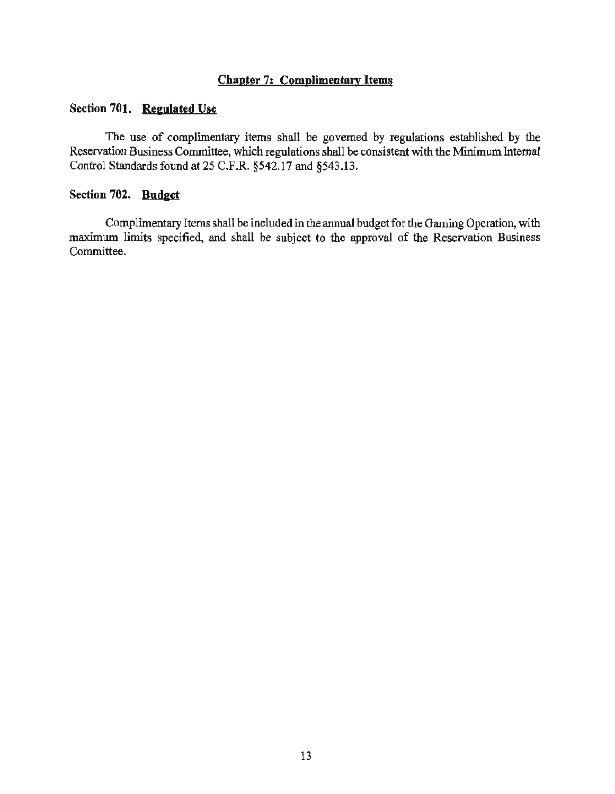# **Chapter 7: Complimentary** Items

#### **Section 701. Regulated Use**

The use of complimentary items shall be governed by regulations established by the Reservation Business Committee, which regulations shall be consistent with the Minimum Internal Control Standards found at 25 C.F .R. §542.17 and §543 .13.

#### **Section 702. Budget**

Complimentary Items shall be included in the annual budget for the Gaming Operation, with maximum limits specified, and shall be subject to the approval of the Reservation Business Committee.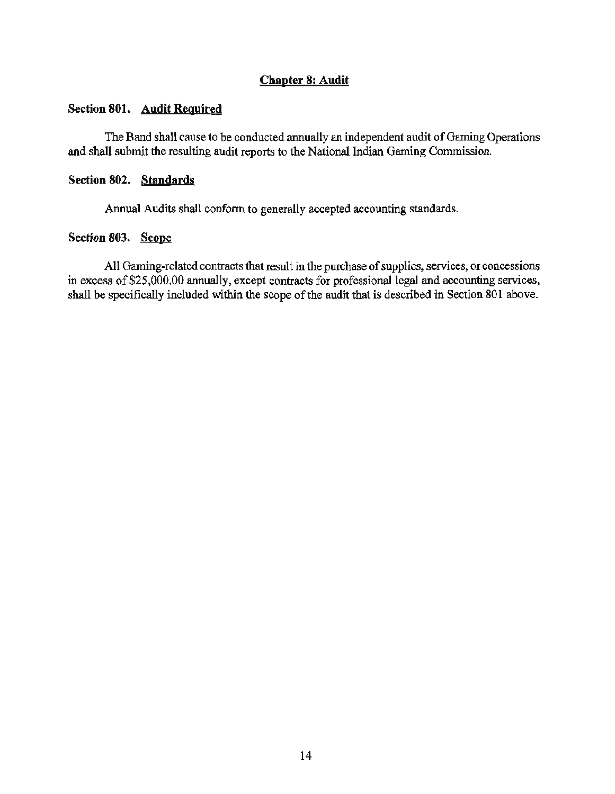# Chapter 8: Audit

#### Section 801. Audit Required

The Band shall cause to be conducted annually an independent audit of Gaming Operations and shall submit the resulting audit reports to the National Indian Gaming Commission.

#### Section 802. Standards

Annual Audits shall conform to generally accepted accounting standards.

#### Section 803. Scope

All Gaming-related contracts that result in the purchase of supplies, services, or concessions in excess of \$25,000.00 annually, except contracts for professional legal and accounting services, shall be specifically included within the scope of the audit that is described in Section 801 above.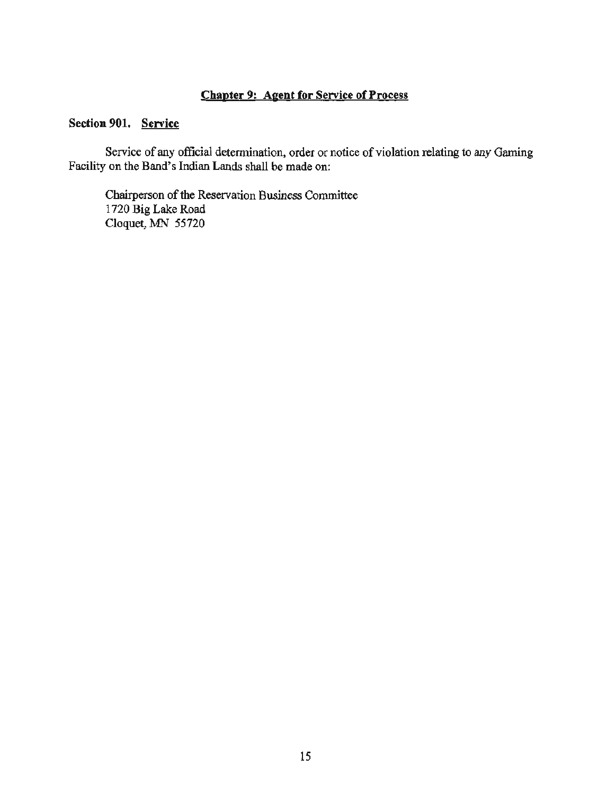# Chapter 9: Agent for Service of Process

# Section 901. Service

Service of any official determination, order or notice of violation relating to any Gaming Facility on the Band's Indian Lands shall be made on:

Chairperson of the Reservation Business Committee 1720 Big Lake Road Cloquet, MN 55720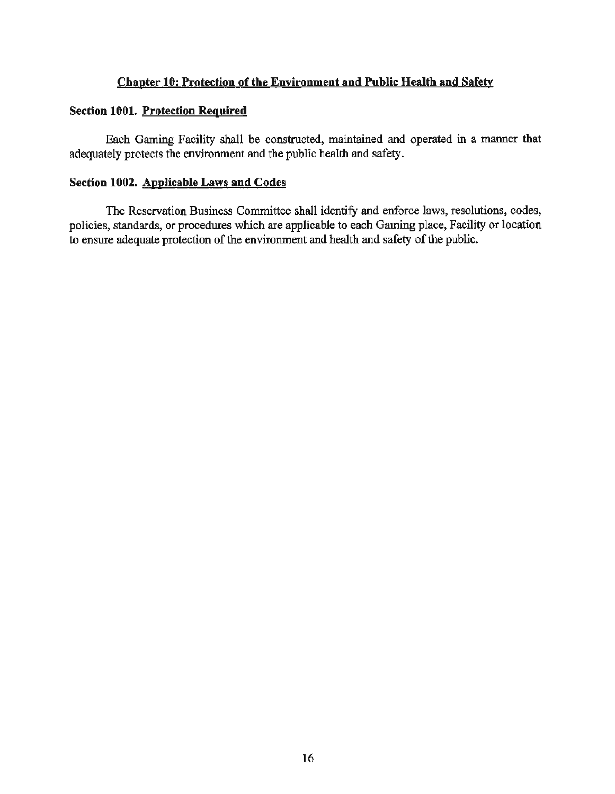# Chapter 10: Protection of the Environment and Public Health and Safety

## Section 1001. Protection Required

Each Gaming Facility shall be constructed, maintained and operated in a manner that adequately protects the environment and the public health and safety.

# Section 1002. Applicable Laws and Codes

The Reservation Business Committee shall identify and enforce laws, resolutions, codes, policies, standards, or procedures which are applicable to each Gaming place, Facility or location to ensure adequate protection of the environment and health and safety of the public.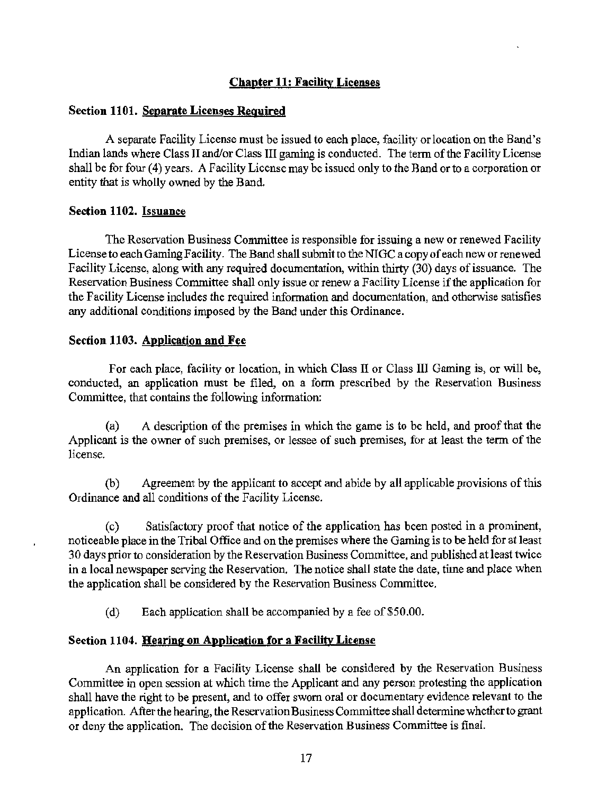# Chapter 11: Facility Licenses

#### Section 1101. Separate Licenses Required

A separate Facility License must be issued to each place, facility or location on the Band's Indian lands where Class II and/or Class III gaming is conducted. The term of the Facility License shall be for four (4) years. A Facility License may be issued only to the Band or to a corporation or entity that is wholly owned by the Band.

#### Section 1102. Issuance

The Reservation Business Committee is responsible for issuing a new or renewed Facility License to each Gaming Facility. The Band shall submit to the NIGC a copy of each new or renewed Facility License, along with any required docwnentation, within thirty (30) days of issuance. The Reservation Business Committee shall only issue or renew a Facility License if the application for the Facility License includes the required information and documentation, and otherwise satisfies any additional conditions imposed by the Band under this Ordinance.

#### Section 1103. Application and Fee

For each place, facility or location, in which Class II or Class III Gaming is, or will be, conducted, an application must be filed, on a form prescribed by the Reservation Business Committee, that contains the following information:

(a) A description of the premises in which the game is to be held, and proof that the Applicant is the owner of such premises, or lessee of such premises, for at least the term of the license.

(b) Agreement by the applicant to accept and abide by all applicable provisions of this Ordinance and all conditions of the Facility License.

( c) Satisfactory proof that notice of the application has been posted in a prominent, noticeable place in the Tribal Office and on the premises where the Gaming is to be held for at least 3 0 days prior to consideration by the Reservation Business Committee, and published at least twice in a local newspaper serving the Reservation. The notice shall state the date, time and place when the application shall be considered by the Reservation Business Committee.

(d) Each application shall be accompanied by a fee of \$50.00.

# Section 1104. Hearing on Application for a Facility License

An application for a Facility License shall be considered by the Reservation Business Committee in open session at which time the Applicant and any person protesting the application shall have the right to be present, and to offer sworn oral or documentary evidence relevant to the application. After the hearing, the Reservation Business Committee shall determine whether to grant or deny the application. The decision of the Reservation Business Committee is final.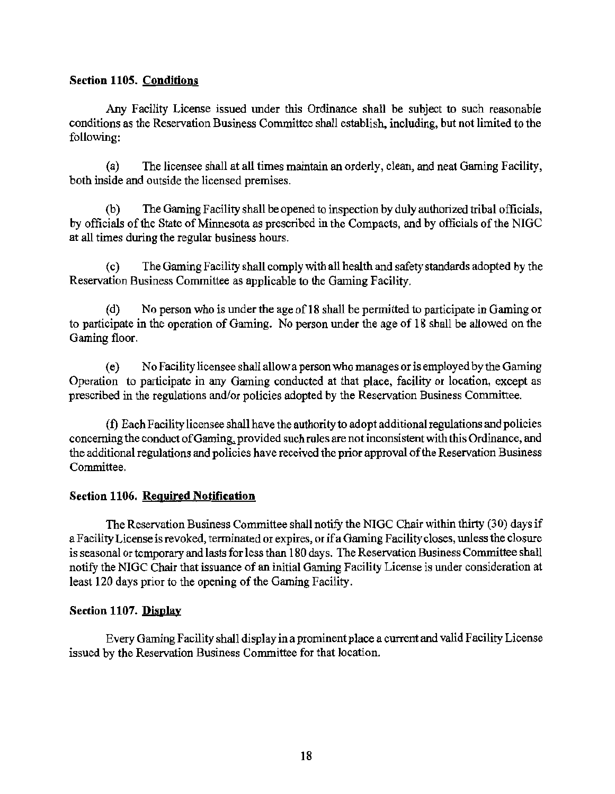# Section 1105. Conditions

Any Facility License issued under this Ordinance shall be subject to such reasonable conditions as the Reservation Business Committee shall establish, including, but not limited to the following:

(a) The licensee shall at all times maintain an orderly, clean, and neat Gaming Facility, both inside and outside the licensed premises.

(b) The Gaming Facility shall be opened to inspection by duly authorized tribal officials, by officials of the State of Minnesota as prescribed in the Compacts, and by officials of the NIGC at all times during the regular business hours.

( c) The Gaming Facility shall comply with all health and safety standards adopted by the Reservation Business Committee as applicable to the Gaming Facility.

( d) No person who is under the age of 18 shall be permitted to participate in Gaming or to participate in the operation of Gaming. No person under the age of 18 shall be allowed on the Gaming floor.

( e) No Facility licensee shall allow a person who manages or is employed by the Gaming Operation to participate in any Gaming conducted at that place, facility or location, except as prescribed in the regulations and/or policies adopted by the Reservation Business Committee.

(f) Each Facility licensee shall have the authority to adopt additional regulations and policies concerning the conduct of Gaming, provided such rules are not inconsistent with this Ordinance, and the additional regulations and policies have received the prior approval of the Reservation Business Committee.

# Section 1106. Required Notification

The Reservation Business Committee shall notify the NIGC Chair within thirty (30) days if a Facility License is revoked, terminated or expires, or if a Gaming Facility closes, unless the closure is seasonal or temporary and lasts for less than 180 days. The Reservation Business Committee shall notify the NIGC Chair that issuance of an initial Gaming Facility License is under consideration at least 120 days prior to the opening of the Gaming Facility.

# Section 1107. Display

Every Gaming Facility shall display in a prominent place a current and valid Facility License issued by the Reservation Business Committee for that location.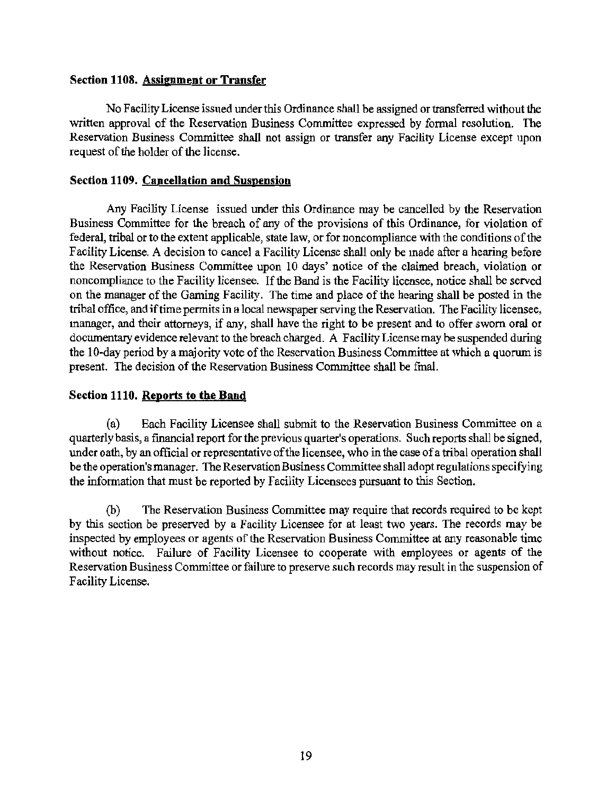## Section 1108. Assipment or Transfer

No Facility License issued under this Ordinance shall be assigned or transferred without the written approval of the Reservation Business Committee expressed by formal resolution. The Reservation Business Committee shall not assign or transfer any Facility License except upon request of the holder of the license.

## Section 1109. Cancellation and Suspension

Any Facility License issued under this Ordinance may be cancelled by the Reservation Business Committee for the breach of any of the provisions of this Ordinance, for violation of federal, tribal or to the extent applicable, state law, or for noncompliance with the conditions of the Facility License. A decision to cancel a Facility License shall only be made after a hearing before the Reservation Business Committee upon 10 days' notice of the claimed breach, violation or noncompliance to the Facility licensee. If the Band is the Facility licensee, notice shall be served on the manager of the Gaming Facility. The time and place of the hearing shall be posted in the tribal office, and if time permits in a local newspaper serving the Reservation. The Facility licensee, manager, and their attorneys, if any, shall have the right to be present and to offer sworn oral or documentary evidence relevant to the breach charged. A Facility License may be suspended during the 10-day period by a majority vote of the Reservation Business Committee at which a quorum is present. The decision of the Reservation Business Committee shall be final.

#### Section 1110. Reports to the Band

(a) Each Facility Licensee shall submit to the Reservation Business Committee on a quarterly basis, a financial report for the previous quarter's operations. Such reports shall be signed, under oath, by an official or representative of the licensee, who in the case of a tribal operation shall be the operation's manager. The Reservation Business Committee shall adopt regulations specifying the infonnation that must be reported by Facility Licensees pursuant to this Section.

(b) The Reservation Business Committee may require that records required to be kept by this section be preserved by a Facility Licensee for at least two years. The records may be inspected by employees or agents of the Reservation Business Committee at any reasonable time without notice. Failure of Facility Licensee to cooperate with employees or agents of the Reservation Business Committee or failure to preserve such records may result in the suspension of Facility License.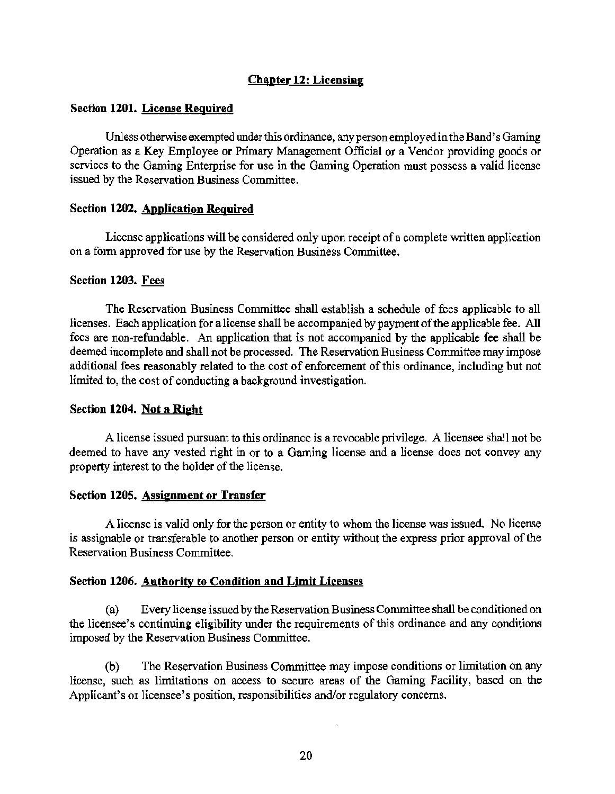# Chapter 12: Licensing

#### Section 1201. License Required

Unless otherwise exempted under this ordinance, any person employed in the Band's Gaming Operation as a Key Employee or Primary Management Official or a Vendor providing goods or services to the Gaming Enterprise for use in the Gaming Operation must possess a valid license issued by the Reservation Business Committee.

#### Section 1202. Application Required

License applications will be considered only upon receipt of a complete written application on a fonn approved for use by the Reservation Business Conunittee.

#### Section 1203. Fees

The Reservation Business Committee shall establish a schedule of fees applicable to all licenses. Each application for a license shall be accompanied by payment of the applicable fee. All fees are non-refundable. An application that is not accompanied by the applicable fee shall be deemed incomplete and shall not be processed. The Reservation Business Committee may impose additional fees reasonably related to the cost of enforcement of this ordinance, including but not limited to, the cost of conducting a background investigation.

#### Section 1204. Not a Right

A license issued pursuant to this ordinance is a revocable privilege. A licensee shall not be deemed to have any vested right in or to a Gaming license and a license does not convey any property interest to the holder of the license.

# Section 1205. Assignment or Transfer

A license is valid only for the person or entity to whom the license was issued. No license is assignable or transferable to another person or entity without the express prior approval of the Reservation Business Committee.

#### Section 1206. Authority to Condition and Limit Licenses

(a) Every license issued by the Reservation Business Conunittee shall be conditioned on the licensee's continuing eligibility under the requirements of this ordinance and any conditions imposed by the Reservation Business Committee.

(b) The Reservation Business Committee may impose conditions or limitation on any license, such as limitations on access to secure areas of the Gaming Facility, based on the Applicant's or licensee's position, responsibilities and/or regulatory concerns.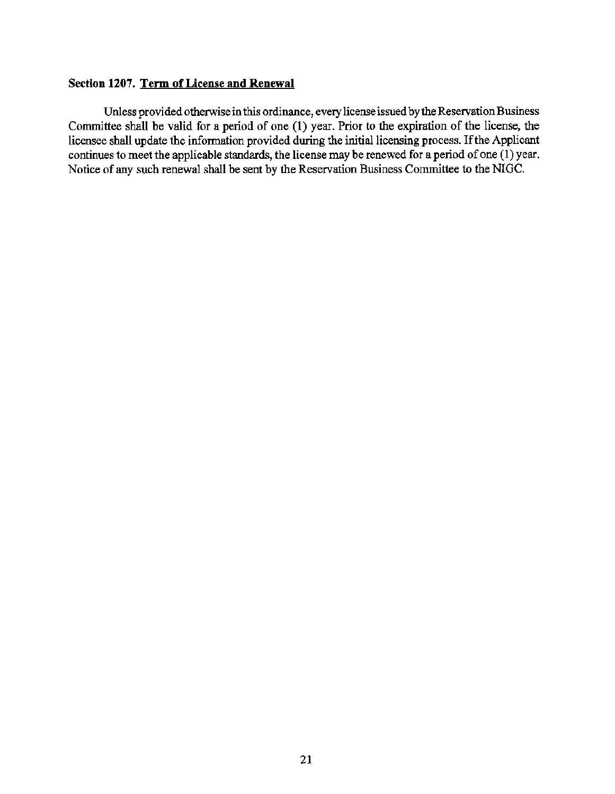#### Section 1207. Term of License and Renewal

Unless provided otherwise in this ordinance, every license issued by the Reservation Business Committee shall be valid for a period of one (1) year. Prior to the expiration of the license, the licensee shall update the information provided during the initial licensing process. If the Applicant continues to meet the applicable standards, the license may be renewed for a period of one (1) year. Notice of any such renewal shall be sent by the Reservation Business Committee to the NIGC.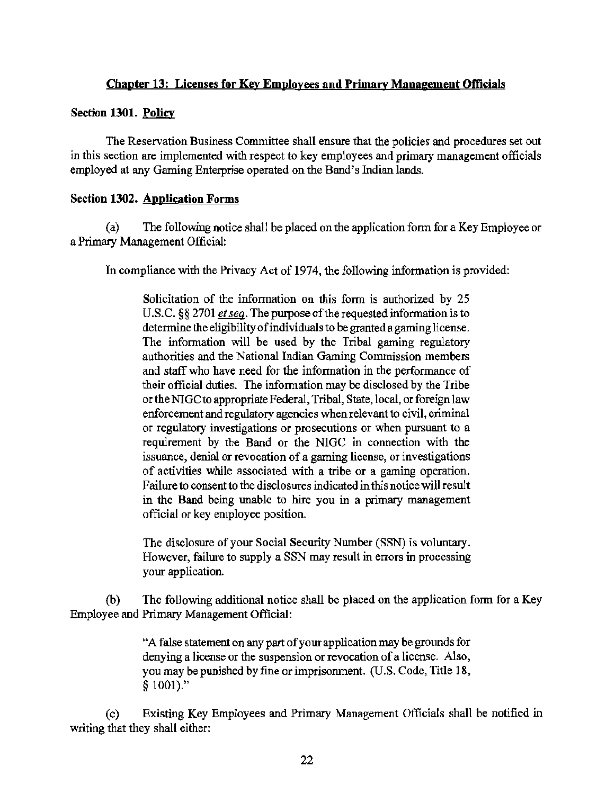# Chapter 13: Licenses for Key Employees and Primary Management Officials

#### Section 1301. Policy

The Reservation Business Committee shall ensure that the policies and procedures set out in this section are implemented with respect to key employees and primary management officials employed at any Gaming Enterprise operated on the Band's Indian lands.

#### Section 1302. Application Forms

(a) The following notice shall be placed on the application form for a Key Employee or a Primary Management Official:

In compliance with the Privacy Act of 1974, the following information is provided:

Solicitation of the information on this form is authorized by 25 U.S.C. §§ 2701 *et seq*. The purpose of the requested information is to determine the eligibility of individuals to be granted a gaming license. The information will be used by the Tribal gaming regulatory authorities and the National Indian Gaming Commission members and staff who have need for the information in the performance of their official duties. The information may be disclosed by the Tribe or the NIGC to appropriate Federal, Tribal, State, local, or foreign law enforcement and regulatory agencies when relevant to civil, criminal or regulatory investigations or prosecutions or when pursuant to a requirement by the Band or the NIGC in connection with the issuance, denial or revocation of a gaming license, or investigations of activities while associated with a tribe or a gaming operation. Failure to consent to the disclosures indicated in this notice will result in the Band being unable to hire you in a primary management official or key employee position.

The disclosure of your Social Security Number (SSN) is voluntary. However, failure to supply a SSN may result in errors in processing your application.

(b) The following additional notice shall be placed on the application form for a Key Employee and Primary Management Official:

> "A false statement on any part of your application may be grounds for denying a license or the suspension or revocation of a license. Also, you may be punished by fine or imprisonment. (U.S. Code, Title 18, § 1001)."

( c) Existing Key Employees and Primary Management Officials shall be notified in writing that they shall either: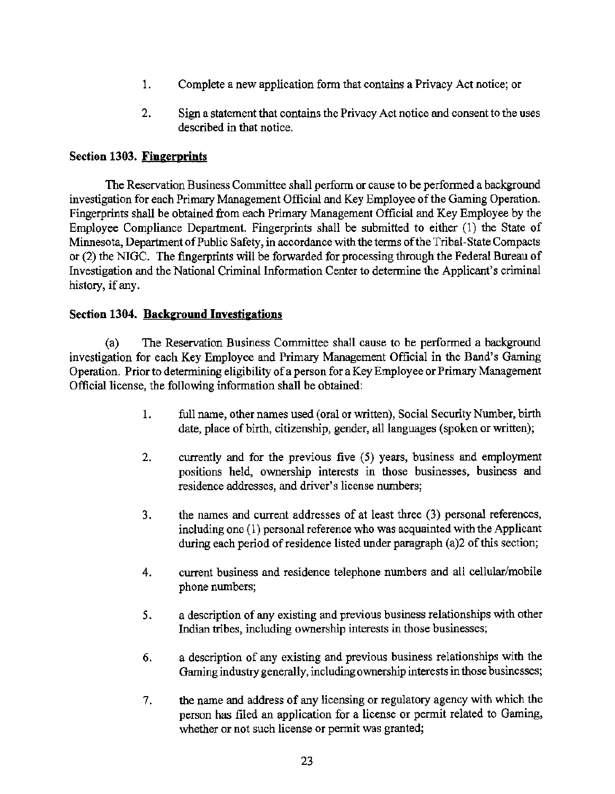- 1. Complete a new application form that contains a Privacy Act notice; or
- 2. Sign a statement that contains the Privacy Act notice and consent to the uses described in that notice.

# Section 1303. Fingerprints

The Reservation Business Committee shall perform or cause to be performed a background investigation for each Primary Management Official and Key Employee of the Gaming Operation. Fingerprints shall be obtained from each Primary Management Official and Key Employee by the Employee Compliance Department. Fingerprints shall be submitted to either (1) the State of Minnesota, Department of Public Safety, in accordance with the terms of the Tribal-State Compacts or (2) the NIGC. The fingerprints will be forwarded for processing through the Federal Bureau of Investigation and the National Criminal Information Center to detennine the Applicant's criminal history, if any.

# Section 1304. Background Investigations

(a) The Reservation Business Committee shall cause to be performed a background investigation for each Key Employee and Primary Management Official in the Band's Gaming Operation. Prior to determining eligibility of a person for a Key Employee or Primary Management Official license, the following information shall be obtained:

- 1. full name, other names used (oral or written), Social Security Number, birth date, place of birth, citizenship, gender, all languages (spoken or written);
- 2. currently and for the previous five (5) years, business and employment positions held, ownership interests in those businesses, business and residence addresses, and driver's license numbers;
- 3. the names and current addresses of at least three (3) personal references, including one (1) personal reference who was acquainted with the Applicant during each period of residence listed under paragraph (a)2 of this section;
- 4. current business and residence telephone numbers and all cellular/mobile phone numbers;
- 5. a description of any existing and previous business relationships with other Indian tribes, including ownership interests in those businesses;
- 6. a description of any existing and previous business relationships with the Gaming industry generally, including ownership interests in those businesses;
- 7. the name and address of any licensing or regulatory agency with which the person has filed an application for a license or permit related to Gaming, whether or not such license or permit was granted;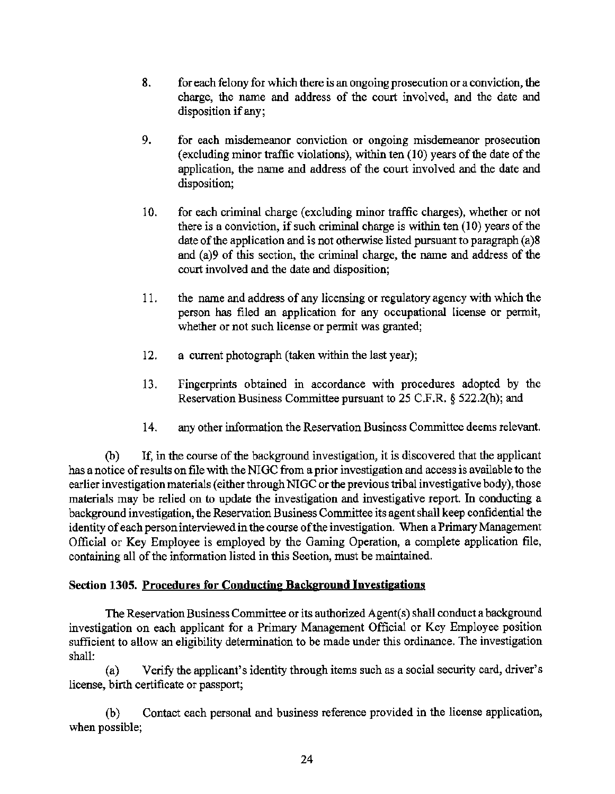- 8. for each felony for which there is an ongoing prosecution or a conviction, the charge, the name and address of the court involved, and the date and disposition if any;
- 9. for each misdemeanor conviction or ongoing misdemeanor prosecution (excluding minor traffic violations), within ten (10) years of the date of the application, the name and address of the court involved and the date and disposition;
- 10. for each criminal charge (excluding minor traffic charges), whether or not there is a conviction, if such criminal charge is within ten (10) years of the date of the application and is not otherwise listed pursuant to paragraph (a)8 and (a)9 of this section, the criminal charge, the name and address of the court involved and the date and disposition;
- 11. the name and address of any licensing or regulatory agency with which the person has filed an application for any occupational license or permit, whether or not such license or permit was granted;
- 12. a current photograph (taken within the last year);
- 13. Fingerprints obtained in accordance with procedures adopted by the Reservation Business Committee pursuant to 25 C.F.R.  $\S$  522.2(h); and
- 14. any other information the Reservation Business Committee deems relevant.

(b) If, in the course of the background investigation, it is discovered that the applicant has a notice of results on file with the NIGC from a prior investigation and access is available to the earlier investigation materials (either through NIGC or the previous tribal investigative body), those materials may be relied on to update the investigation and investigative report. In conducting a background investigation, the Reservation Business Committee its agent shall keep confidential the identity of each person interviewed in the course of the investigation. When a Primary Management Official or Key Employee is employed by the Gaming Operation, a complete application file, containing all of the information listed in this Section, must be maintained.

# Section 1305. Procedures for Conducting Background Investigations

The Reservation Business Committee or its authorized Agent(s) shall conduct a background investigation on each applicant for a Primary Management Official or Key Employee position sufficient to allow an eligibility determination to be made under this ordinance. The investigation shall:

(a) Verify the applicant's identity through items such as a social security card, driver's license, birth certificate or passport;

(b) Contact each personal and business reference provided in the license application, when possible;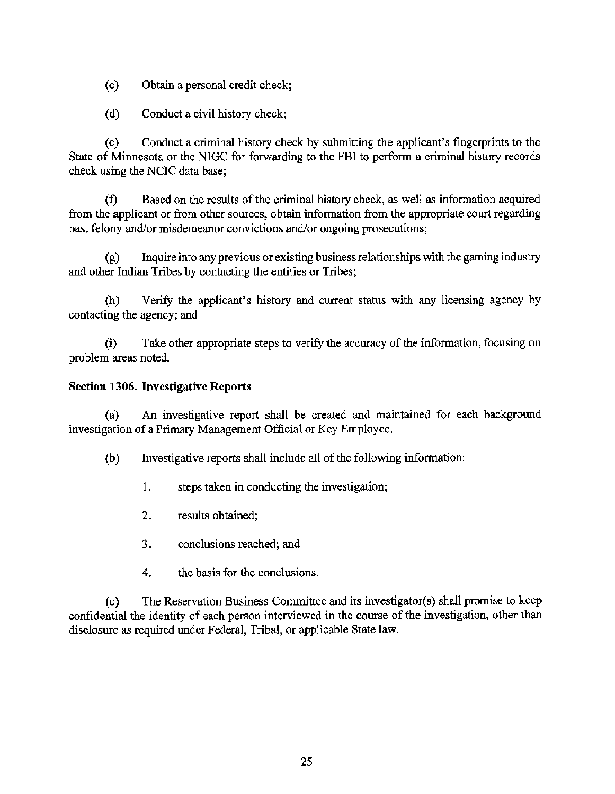- (c) Obtain a personal credit check;
- (d) Conduct a civil history check;

( e) Conduct a criminal history check by submitting the applicant's fingerprints to the State of Minnesota or the NIGC for forwarding to the FBI to perform a criminal history records check using the NCIC data base;

(f) Based on the results of the criminal history check, as well as information acquired from the applicant or from other sources, obtain information from the appropriate court regarding past felony and/or misdemeanor convictions and/or ongoing prosecutions;

(g) Inquire into any previous or existing business relationships with the gaming industry and other Indian Tribes by contacting the entities or Tribes;

(h) Verify the applicant's history and current status with any licensing agency by contacting the agency; and

(i) Take other appropriate steps to verify the accuracy of the information, focusing on problem areas noted.

#### Section 1306. Investigative Reports

(a) An investigative report shall be created and maintained for each background investigation of a Primary Management Official or Key Employee.

(b) Investigative reports shall include all of the following information:

- 1. steps taken in conducting the investigation;
- 2. results obtained;
- 3. conclusions reached; and
- 4. the basis for the conclusions.

(c) The Reservation Business Committee and its investigator(s) shall promise to keep confidential the identity of each person interviewed in the course of the investigation, other than disclosure as required under Federal, Tribal, or applicable State law.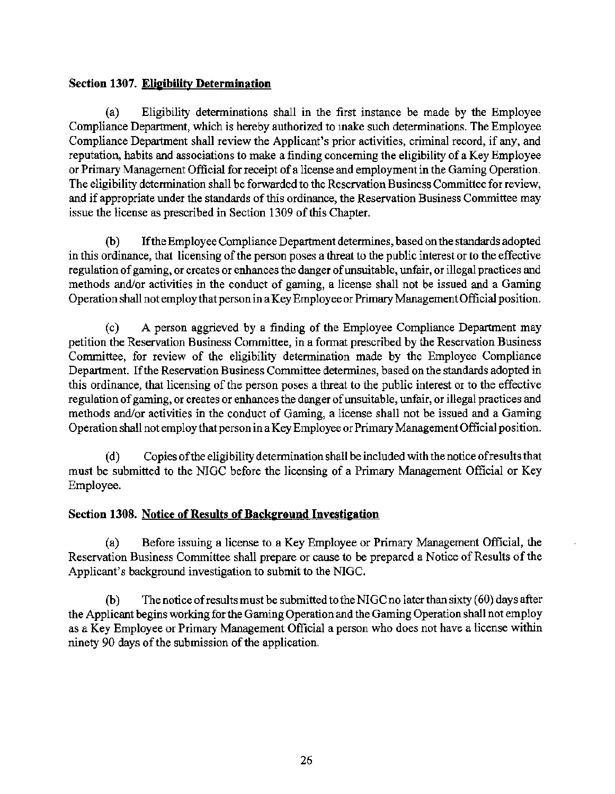# Section 1307. Eligibility Determination

(a) Eligibility determinations shall in the first instance be made by the Employee Compliance Department, which is hereby authorized to make such determinations. The Employee Compliance Department shall review the Applicant's prior activities, criminal record, if any, and reputation, habits and associations to make a finding concerning the eligibility of a Key Employee or Primary Management Official for receipt of a license and employment in the Gaming Operation. The eligibility determination shall be forwarded to the Reservation Business Committee for review, and if appropriate under the standards of this ordinance, the Reservation Business Committee may issue the license as prescribed in Section 1309 of this Chapter.

(b) If the Employee Compliance Department determines, based on the standards adopted in this ordinance, that licensing of the person poses a threat to the public interest or to the effective regulation of gaming, or creates or enhances the danger of unsuitable, unfair, or illegal practices and methods and/or activities in the conduct of gaming, a license shall not be issued and a Gaming Operation shall not employ that person in a Key Employee or Primary Management Official position.

( c) A person aggrieved by a finding of the Employee Compliance Department may petition the Reservation Business Committee, in a format prescribed by the Reservation Business Committee, for review of the eligibility determination made by the Employee Compliance Department. If the Reservation Business Committee determines, based on the standards adopted in this ordinance, that licensing of the person poses a threat to the public interest or to the effective regulation of gaming, or creates or enhances the danger of unsuitable, unfair, or illegal practices and methods and/or activities in the conduct of Gaming, a license shall not be issued and a Gaming Operation shall not employ that person in a Key Employee or Primary Management Official position.

( d) Copies of the eligibility determination shall be included with the notice ofresults that must be submitted to the NIGC before the licensing of a Primary Management Official or Key Employee.

# Section 1308. Notice of Results of Background Investigation

(a) Before issuing a license to a Key Employee or Primary Management Official, the Reservation Business Committee shall prepare or cause to be prepared a Notice of Results of the Applicant's background investigation to submit to the NIGC.

(b) The notice of results must be submitted to the NIGC no later than sixty  $(60)$  days after the Applicant begins working for the Gaming Operation and the Gaming Operation shall not employ as a Key Employee or Primary Management Official a person who does not have a license within ninety 90 days of the submission of the application.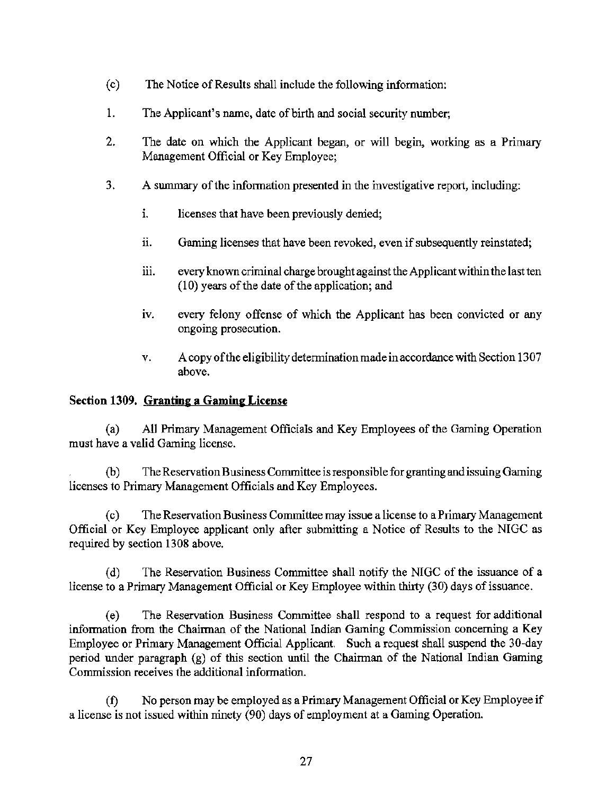- ( c) The Notice of Results shall include the following information:
- 1. The Applicant's name, date of birth and social security number;
- 2. The date on which the Applicant began, or will begin, working as a Primary Management Official or Key Employee;
- 3. A summary of the information presented in the investigative report, including:
	- i. licenses that have been previously denied;
	- i. Gaming licenses that have been revoked, even if subsequently reinstated;
	- iii. every known criminal charge brought against the Applicant within the last ten (10) years of the date of the application; and
	- iv. every felony offense of which the Applicant has been convicted or any ongoing prosecution.
	- v. A copy of the eligibility determination made in accordance with Section 1307 above.

# Section 1309. Granting a Gaming License

(a) All Primary Management Officials and Key Employees of the Gaming Operation must have a valid Gaming license.

(b) The Reservation Business Committee is responsible for granting and issuing Gaming licenses to Primary Management Officials and Key Employees.

( c) The Reservation Business Committee may issue a license to a Primary Management Official or Key Employee applicant only after submitting a Notice of Results to the NIGC as required by section 1308 above.

(d) The Reservation Business Committee shall notify the NIGC of the issuance of a license to a Primary Management Official or Key Employee within thirty (30) days of issuance.

(e) The Reservation Business Committee shall respond to a request for additional information from the Chairman of the National Indian Gaming Commission concerning a Key Employee or Primary Management Official Applicant. Such a request shall suspend the 30-day period under paragraph (g) of this section until the Chairman of the National Indian Gaming Commission receives the additional information.

(f) No person may be employed as a Primary Management Official or Key Employee if a license is not issued within ninety (90) days of employment at a Gaming Operation.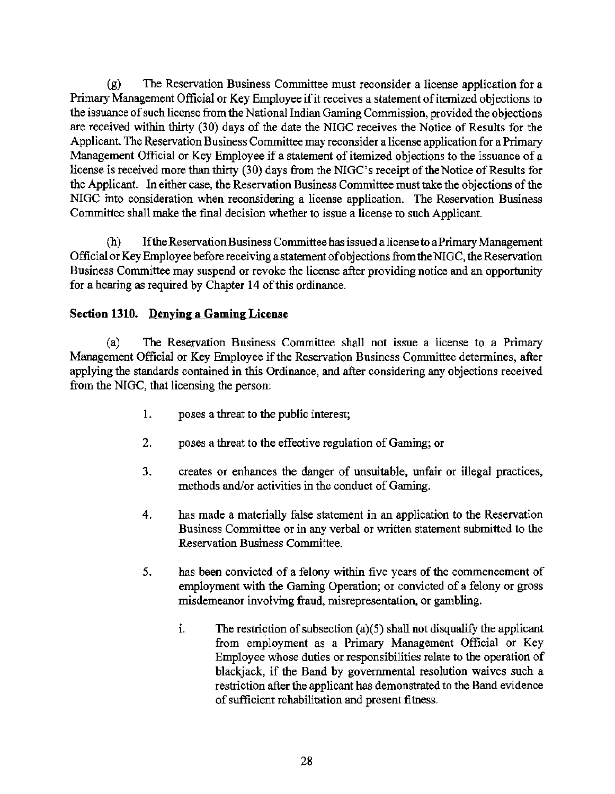(g) The Reservation Business Committee must reconsider a license application for a Primary Management Official or Key Employee if it receives a statement of itemized objections to the issuance of such license from the National Indian Gaming Commission, provided the objections are received within thirty (30) days of the date the NIGC receives the Notice of Results for the Applicant. The Reservation Business Committee may reconsider a license application for a Primary Management Official or Key Employee if a statement of itemized objections to the issuance of a license is received more than thirty (30) days from the NIGC's receipt of the Notice of Results for the Applicant. In either case, the Reservation Business Committee must take the objections of the NIGC into consideration when reconsidering a license application. The Reservation Business Committee shall make the final decision whether to issue a license to such Applicant.

(h) If the Reservation Business Committee has issued a license to a Primary Management Official or Key Employee before receiving a statement of objections from the NIGC, the Reservation Business Committee may suspend or revoke the license after providing notice and an opportunity for a hearing as required by Chapter 14 of this ordinance.

# Section 1310. Denying a Gaming License

(a) The Reservation Business Committee shall not issue a license to a Primary Management Official or Key Employee if the Reservation Business Committee determines, after applying the standards contained in this Ordinance, and after considering any objections received from the NIGC, that licensing the person:

- 1. poses a threat to the public interest;
- 2. poses a threat to the effective regulation of Gaming; or
- 3. creates or enhances the danger of unsuitable, unfair or illegal practices, methods and/or activities in the conduct of Gaming.
- 4. has made a materially false statement in an application to the Reservation Business Committee or in any verbal or written statement submitted to the Reservation Business Committee.
- 5. has been convicted of a felony within five years of the commencement of employment with the Gaming Operation; or convicted of a felony or gross misdemeanor involving fraud, misrepresentation, or gambling.
	- i. The restriction of subsection (a)(5) shall not disqualify the applicant from employment as a Primary Management Official or Key Employee whose duties or responsibilities relate to the operation of blackjack, if the Band by governmental resolution waives such a restriction after the applicant has demonstrated to the Band evidence of sufficient rehabilitation and present fitness.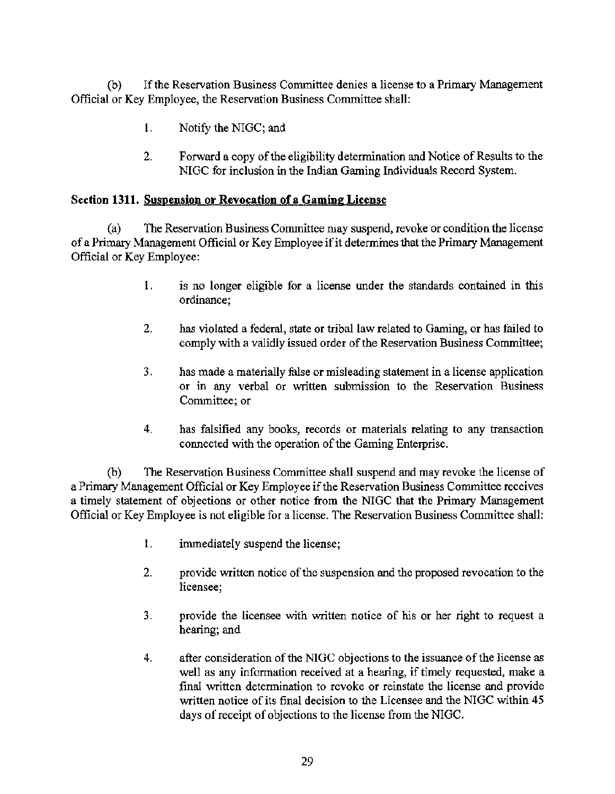(b) If the Reservation Business Committee denies a license to a Primary Management Official or Key Employee, the Reservation Business Committee shall:

- 1. Notify the NIGC; and
- 2. Forward a copy of the eligibility determination and Notice of Results to the NIGC for inclusion in the Indian Gaming Individuals Record System.

# Section **1311. Suspension or Revocation of a Gaming License**

(a) The Reservation Business Committee may suspend, revoke or condition the license of a Primary Management Official or Key Employee if it determines that the Primary Management Official or Key Employee:

- **1.** is no longer eligible for a license under the standards contained in this ordinance;
- 2. has violated a federal, state or tribal law related to Gaming, or has failed to comply with a validly issued order of the Reservation Business Committee;
- 3. has made a materially false or misleading statement in a license application or in any verbal or written submission to the Reservation Business Committee; or
- 4. has falsified any books, records or materials relating to any transaction connected with the operation of the Gaming Enterprise.

(b) The Reservation Business Committee shall suspend and may revoke the license of a Primary Management Official or Key Employee if the Reservation Business Committee receives a timely statement of objections or other notice from the NIGC that the Primary Management Official or Key Employee is not eligible for a license. The Reservation Business Committee shall:

- l. inunediately suspend the license;
- 2. provide written notice of the suspension and the proposed revocation to the licensee;
- 3. provide the licensee with written notice of his or her right to request a hearing; and
- 4. after consideration of the NIGC objections to the issuance of the license as well as any information received at a hearing, if timely requested, make a final written determination to revoke or reinstate the license and provide written notice of its final decision to the Licensee and the NIGC within 45 days of receipt of objections to the license from the NIGC.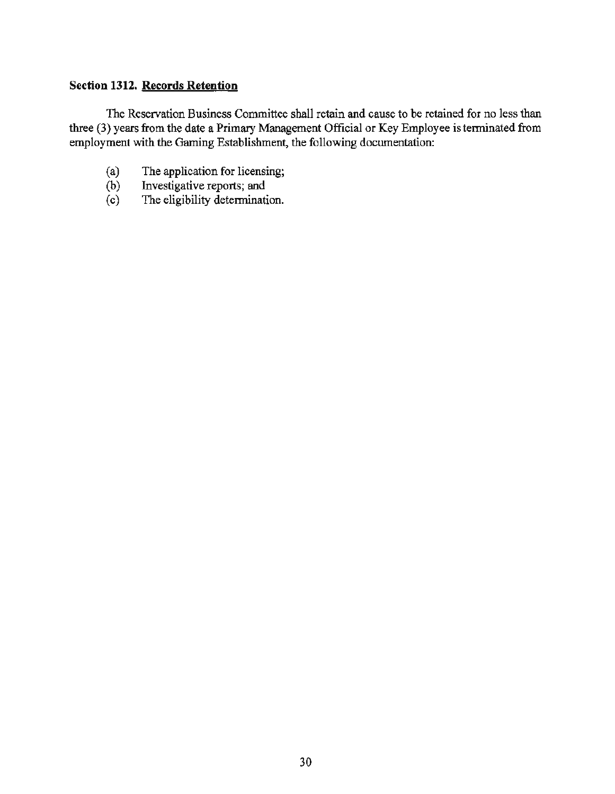# Section 1312. Records Retention

The Reservation Business Committee shall retain and cause to be retained for no less than three (3) years from the date a Primary Management Official or Key Employee is terminated from employment with the Gaming Establishment, the following documentation:

- (a) The application for licensing;<br>(b) Investigative reports; and
- (b) Investigative reports; and<br>(c) The eligibility determination
- The eligibility determination.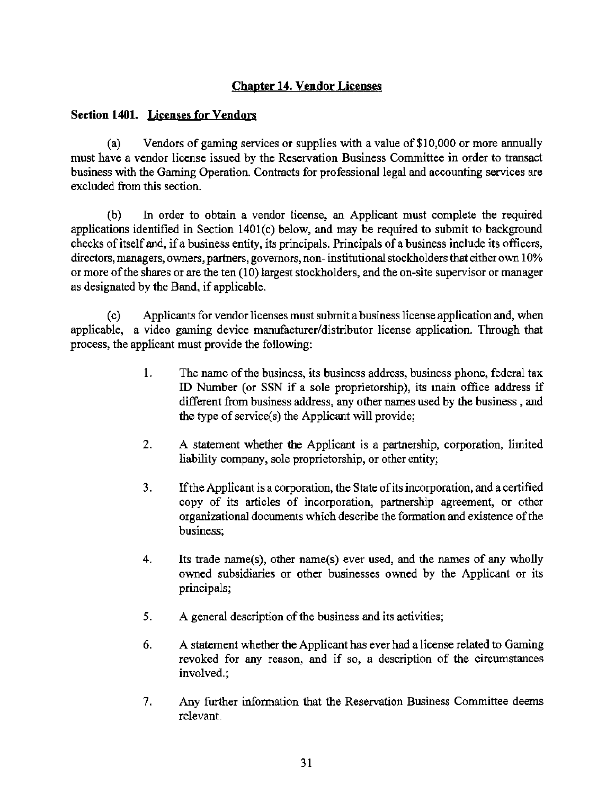# Chapter 14. Vendor Licenses

# Section 1401. Licenses for Vendors

(a) Vendors of gaming services or supplies with a value of \$10,000 or more annually must have a vendor license issued by the Reservation Business Committee in order to transact business with the Gaming Operation. Contracts for professional legal and accounting services are excluded from this section.

(b) In order to obtain a vendor license, an Applicant must complete the required applications identified in Section 1401(c) below, and may be required to submit to background checks of itself and, if a business entity, its principals. Principals of a business include its officers, directors, managers, owners, partners, governors, non- institutional stockholders that either own 10% or more of the shares or are the ten (10) largest stockholders, and the on-site supervisor or manager as designated by the Band, if applicable.

( c) Applicants for vendor licenses must submit a business license application and, when applicable, a video gaming device manufacturer/distributor license application. Through that process, the applicant must provide the following:

- 1. The name of the business, its business address, business phone, federal tax ID Number (or SSN if a sole proprietorship), its main office address if different from business address, any other names used by the business , and the type of service(s) the Applicant will provide;
- 2. A statement whether the Applicant is a partnership, corporation, limited liability company, sole proprietorship, or other entity;
- 3. If the Applicant is a corporation, the State of its incorporation, and a certified copy of its articles of incorporation, partnership agreement, or other organizational documents which describe the fonnation and existence of the business;
- 4. Its trade name(s), other name(s) ever used, and the names of any wholly owned subsidiaries or other businesses owned by the Applicant or its principals;
- *5.* A general description of the business and its activities;
- 6. A statement whether the Applicant has ever had a license related to Gaming revoked for any reason, and if so, a description of the circumstances involved.;
- 7. Any further information that the Reservation Business Committee deems relevant.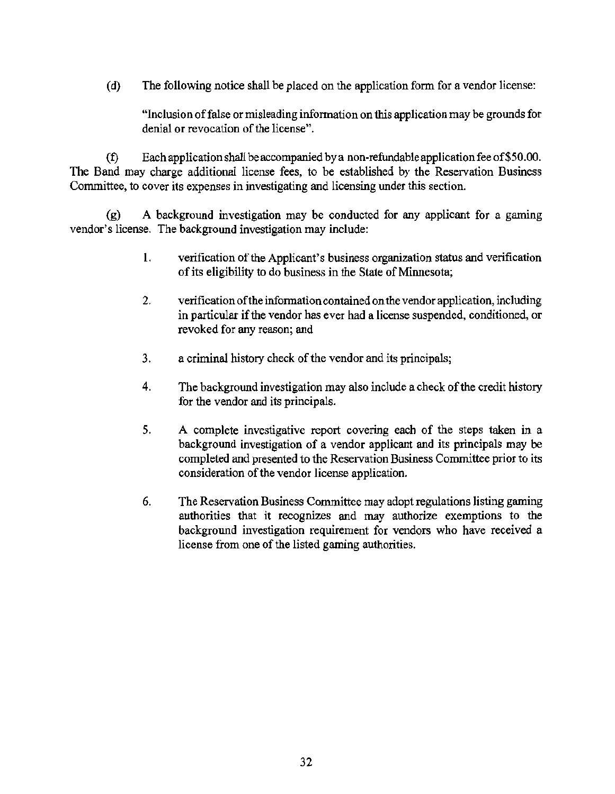(d) The following notice shall be placed on the application form for a vendor license:

"Inclusion of false or misleading information on this application may be grounds for denial or revocation of the license".

(f) Each application shall be accompanied by a non-refundable application fee of\$50.00. The Band may charge additional license fees, to be established by the Reservation Business Committee, to cover its expenses in investigating and licensing under this section.

(g) A background investigation may be conducted for any applicant for a gaming vendor's license. The background investigation may include:

- I. verification of the Applicant's business organization status and verification of its eligibility to do business in the State of Minnesota;
- 2. verification of the information contained on the vendor application, including in particular if the vendor has ever had a license suspended, conditioned, or revoked for any reason; and
- 3. a criminal history check of the vendor and its principals;
- 4. The background investigation may also include a check of the credit history for the vendor and its principals.
- 5. A complete investigative report covering each of the steps taken in a background investigation of a vendor applicant and its principals may be completed and presented to the Reservation Business Committee prior to its consideration of the vendor license application.
- 6. The Reservation Business Committee may adopt regulations listing gaming authorities that it recognizes and may authorize exemptions to the background investigation requirement for vendors who have received a license from one of the listed gaming authorities.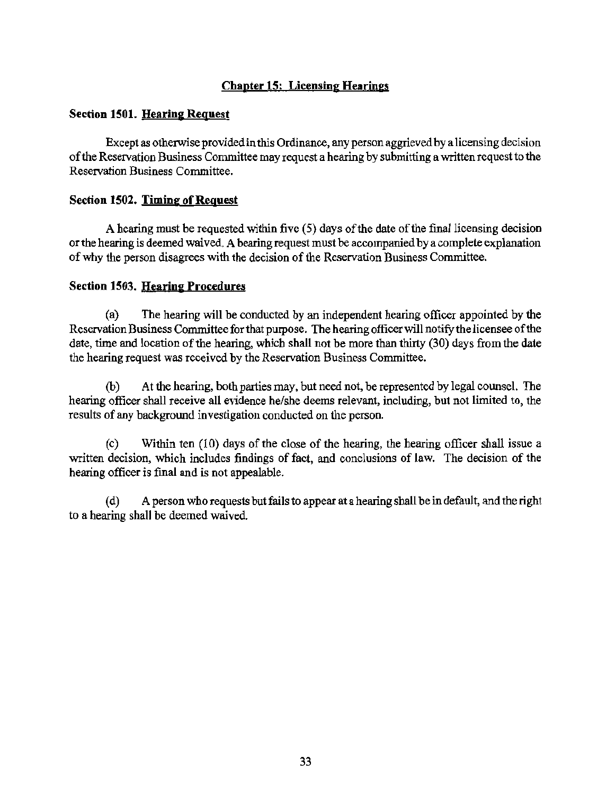# Chapter 15: Licensing Hearings

# Section 1501. Hearing Request

Except as otherwise provided in this Ordinance, any person aggrieved by a licensing decision of the Reservation Business Committee may request a hearing by submitting a written request to the Reservation Business Committee.

# Section 1502. Timing of Request

A hearing must be requested within five (5) days of the date of the final licensing decision or the hearing is deemed waived. A hearing request must be accompanied by a complete explanation of why the person disagrees with the decision of the Reservation Business Committee.

# Section 1503. Hearing Procedures

(a) The hearing will be conducted by an independent hearing officer appointed by the Reservation Business Committee for that purpose. The hearing officer will notify the licensee of the date, time and location of the hearing, which shall not be more than thirty (30) days from the date the hearing request was received by the Reservation Business Committee.

(b) At the hearing, both parties may, but need not, be represented by legal counsel. The hearing officer shall receive all evidence he/she deems relevant, including, but not limited to, the results of any background investigation conducted on the person.

( c) Within ten (10) days of the close of the hearing, the hearing officer shall issue a written decision, which includes findings of fact, and conclusions of law. The decision of the hearing officer is final and is not appealable.

( d) A person who requests but fails to appear at a hearing shall be in default, and the right to a hearing shall be deemed waived.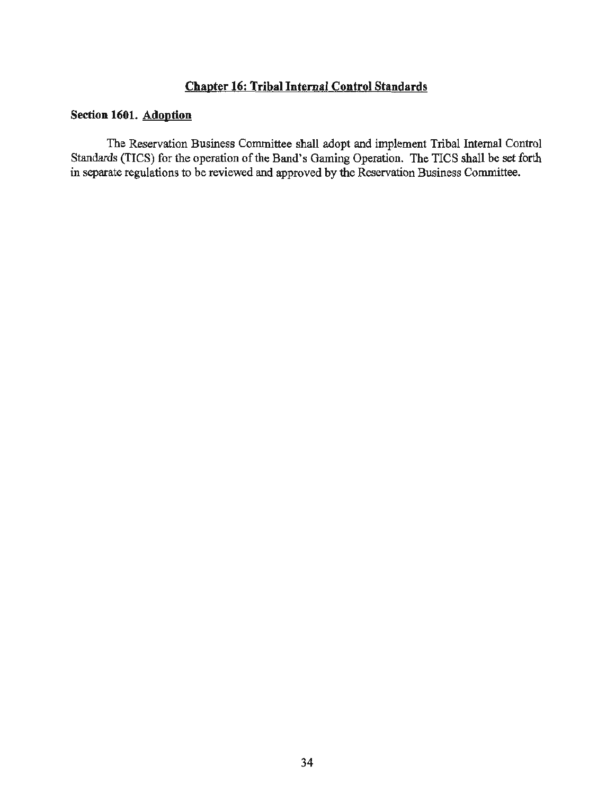# Chapter 16: Tribal Internal Control Standards

# Section 1601. Adoption

The Reservation Business Committee shall adopt and implement Tribal Internal Control Standards (TICS) for the operation of the Band's Gaming Operation. The TICS shall be set forth in separate regulations to be reviewed and approved by the Reservation Business Committee.